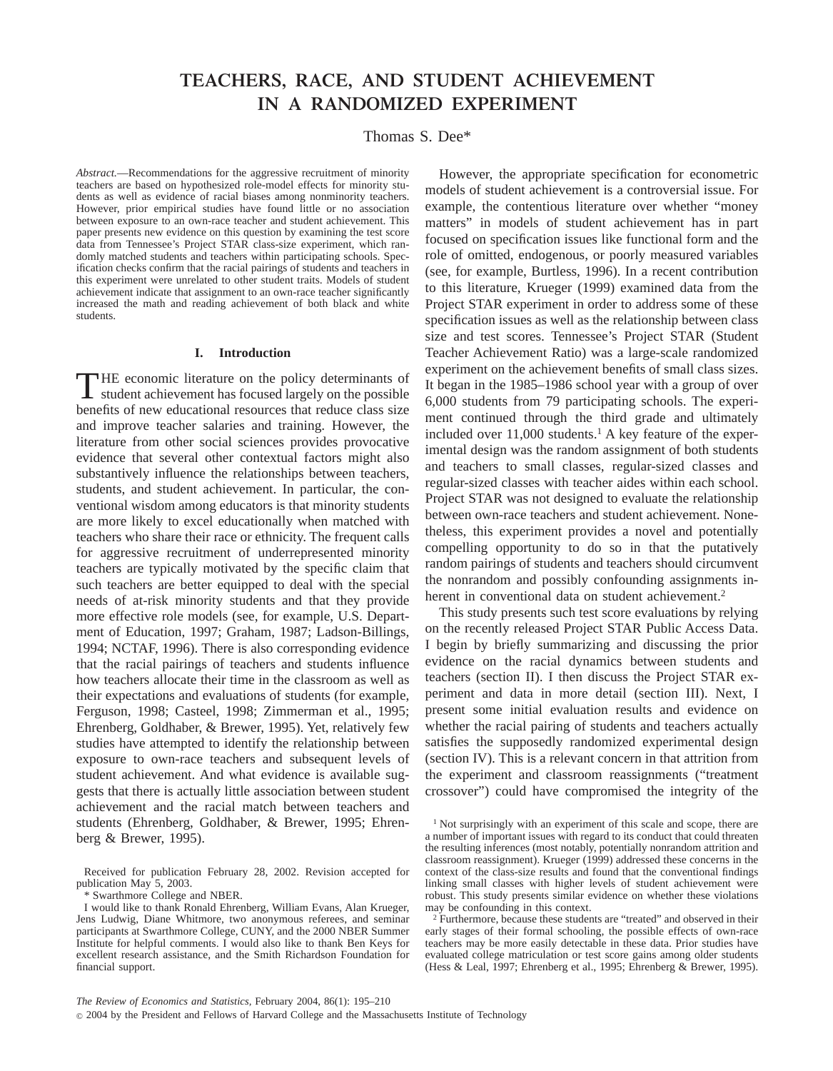# **TEACHERS, RACE, AND STUDENT ACHIEVEMENT IN A RANDOMIZED EXPERIMENT**

## Thomas S. Dee\*

*Abstract.*—Recommendations for the aggressive recruitment of minority teachers are based on hypothesized role-model effects for minority students as well as evidence of racial biases among nonminority teachers. However, prior empirical studies have found little or no association between exposure to an own-race teacher and student achievement. This paper presents new evidence on this question by examining the test score data from Tennessee's Project STAR class-size experiment, which randomly matched students and teachers within participating schools. Specification checks confirm that the racial pairings of students and teachers in this experiment were unrelated to other student traits. Models of student achievement indicate that assignment to an own-race teacher significantly increased the math and reading achievement of both black and white students.

## **I. Introduction**

THE economic literature on the policy determinants of student achievement has focused largely on the possible benefits of new educational resources that reduce class size and improve teacher salaries and training. However, the literature from other social sciences provides provocative evidence that several other contextual factors might also substantively influence the relationships between teachers, students, and student achievement. In particular, the conventional wisdom among educators is that minority students are more likely to excel educationally when matched with teachers who share their race or ethnicity. The frequent calls for aggressive recruitment of underrepresented minority teachers are typically motivated by the specific claim that such teachers are better equipped to deal with the special needs of at-risk minority students and that they provide more effective role models (see, for example, U.S. Department of Education, 1997; Graham, 1987; Ladson-Billings, 1994; NCTAF, 1996). There is also corresponding evidence that the racial pairings of teachers and students influence how teachers allocate their time in the classroom as well as their expectations and evaluations of students (for example, Ferguson, 1998; Casteel, 1998; Zimmerman et al., 1995; Ehrenberg, Goldhaber, & Brewer, 1995). Yet, relatively few studies have attempted to identify the relationship between exposure to own-race teachers and subsequent levels of student achievement. And what evidence is available suggests that there is actually little association between student achievement and the racial match between teachers and students (Ehrenberg, Goldhaber, & Brewer, 1995; Ehrenberg & Brewer, 1995).

Received for publication February 28, 2002. Revision accepted for publication May 5, 2003.

\* Swarthmore College and NBER.

However, the appropriate specification for econometric models of student achievement is a controversial issue. For example, the contentious literature over whether "money matters" in models of student achievement has in part focused on specification issues like functional form and the role of omitted, endogenous, or poorly measured variables (see, for example, Burtless, 1996). In a recent contribution to this literature, Krueger (1999) examined data from the Project STAR experiment in order to address some of these specification issues as well as the relationship between class size and test scores. Tennessee's Project STAR (Student Teacher Achievement Ratio) was a large-scale randomized experiment on the achievement benefits of small class sizes. It began in the 1985–1986 school year with a group of over 6,000 students from 79 participating schools. The experiment continued through the third grade and ultimately included over  $11,000$  students.<sup>1</sup> A key feature of the experimental design was the random assignment of both students and teachers to small classes, regular-sized classes and regular-sized classes with teacher aides within each school. Project STAR was not designed to evaluate the relationship between own-race teachers and student achievement. Nonetheless, this experiment provides a novel and potentially compelling opportunity to do so in that the putatively random pairings of students and teachers should circumvent the nonrandom and possibly confounding assignments inherent in conventional data on student achievement.<sup>2</sup>

This study presents such test score evaluations by relying on the recently released Project STAR Public Access Data. I begin by briefly summarizing and discussing the prior evidence on the racial dynamics between students and teachers (section II). I then discuss the Project STAR experiment and data in more detail (section III). Next, I present some initial evaluation results and evidence on whether the racial pairing of students and teachers actually satisfies the supposedly randomized experimental design (section IV). This is a relevant concern in that attrition from the experiment and classroom reassignments ("treatment crossover") could have compromised the integrity of the

I would like to thank Ronald Ehrenberg, William Evans, Alan Krueger, Jens Ludwig, Diane Whitmore, two anonymous referees, and seminar participants at Swarthmore College, CUNY, and the 2000 NBER Summer Institute for helpful comments. I would also like to thank Ben Keys for excellent research assistance, and the Smith Richardson Foundation for financial support.

<sup>&</sup>lt;sup>1</sup> Not surprisingly with an experiment of this scale and scope, there are a number of important issues with regard to its conduct that could threaten the resulting inferences (most notably, potentially nonrandom attrition and classroom reassignment). Krueger (1999) addressed these concerns in the context of the class-size results and found that the conventional findings linking small classes with higher levels of student achievement were robust. This study presents similar evidence on whether these violations may be confounding in this context.

<sup>&</sup>lt;sup>2</sup> Furthermore, because these students are "treated" and observed in their early stages of their formal schooling, the possible effects of own-race teachers may be more easily detectable in these data. Prior studies have evaluated college matriculation or test score gains among older students (Hess & Leal, 1997; Ehrenberg et al., 1995; Ehrenberg & Brewer, 1995).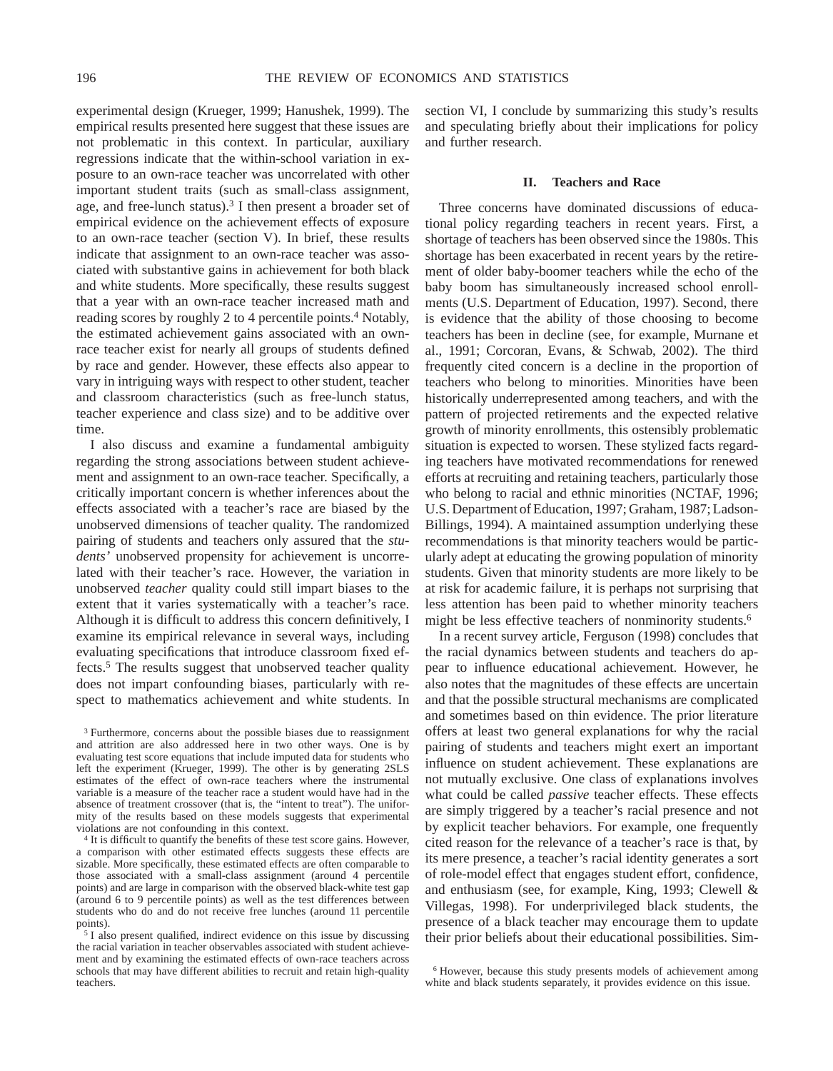experimental design (Krueger, 1999; Hanushek, 1999). The empirical results presented here suggest that these issues are not problematic in this context. In particular, auxiliary regressions indicate that the within-school variation in exposure to an own-race teacher was uncorrelated with other important student traits (such as small-class assignment, age, and free-lunch status). $3$  I then present a broader set of empirical evidence on the achievement effects of exposure to an own-race teacher (section V). In brief, these results indicate that assignment to an own-race teacher was associated with substantive gains in achievement for both black and white students. More specifically, these results suggest that a year with an own-race teacher increased math and reading scores by roughly 2 to 4 percentile points.<sup>4</sup> Notably, the estimated achievement gains associated with an ownrace teacher exist for nearly all groups of students defined by race and gender. However, these effects also appear to vary in intriguing ways with respect to other student, teacher and classroom characteristics (such as free-lunch status, teacher experience and class size) and to be additive over time.

I also discuss and examine a fundamental ambiguity regarding the strong associations between student achievement and assignment to an own-race teacher. Specifically, a critically important concern is whether inferences about the effects associated with a teacher's race are biased by the unobserved dimensions of teacher quality. The randomized pairing of students and teachers only assured that the *students'* unobserved propensity for achievement is uncorrelated with their teacher's race. However, the variation in unobserved *teacher* quality could still impart biases to the extent that it varies systematically with a teacher's race. Although it is difficult to address this concern definitively, I examine its empirical relevance in several ways, including evaluating specifications that introduce classroom fixed effects.5 The results suggest that unobserved teacher quality does not impart confounding biases, particularly with respect to mathematics achievement and white students. In

section VI, I conclude by summarizing this study's results and speculating briefly about their implications for policy and further research.

#### **II. Teachers and Race**

Three concerns have dominated discussions of educational policy regarding teachers in recent years. First, a shortage of teachers has been observed since the 1980s. This shortage has been exacerbated in recent years by the retirement of older baby-boomer teachers while the echo of the baby boom has simultaneously increased school enrollments (U.S. Department of Education, 1997). Second, there is evidence that the ability of those choosing to become teachers has been in decline (see, for example, Murnane et al., 1991; Corcoran, Evans, & Schwab, 2002). The third frequently cited concern is a decline in the proportion of teachers who belong to minorities. Minorities have been historically underrepresented among teachers, and with the pattern of projected retirements and the expected relative growth of minority enrollments, this ostensibly problematic situation is expected to worsen. These stylized facts regarding teachers have motivated recommendations for renewed efforts at recruiting and retaining teachers, particularly those who belong to racial and ethnic minorities (NCTAF, 1996; U.S. Department of Education, 1997; Graham, 1987; Ladson-Billings, 1994). A maintained assumption underlying these recommendations is that minority teachers would be particularly adept at educating the growing population of minority students. Given that minority students are more likely to be at risk for academic failure, it is perhaps not surprising that less attention has been paid to whether minority teachers might be less effective teachers of nonminority students.6

In a recent survey article, Ferguson (1998) concludes that the racial dynamics between students and teachers do appear to influence educational achievement. However, he also notes that the magnitudes of these effects are uncertain and that the possible structural mechanisms are complicated and sometimes based on thin evidence. The prior literature offers at least two general explanations for why the racial pairing of students and teachers might exert an important influence on student achievement. These explanations are not mutually exclusive. One class of explanations involves what could be called *passive* teacher effects. These effects are simply triggered by a teacher's racial presence and not by explicit teacher behaviors. For example, one frequently cited reason for the relevance of a teacher's race is that, by its mere presence, a teacher's racial identity generates a sort of role-model effect that engages student effort, confidence, and enthusiasm (see, for example, King, 1993; Clewell & Villegas, 1998). For underprivileged black students, the presence of a black teacher may encourage them to update their prior beliefs about their educational possibilities. Sim-

<sup>&</sup>lt;sup>3</sup> Furthermore, concerns about the possible biases due to reassignment and attrition are also addressed here in two other ways. One is by evaluating test score equations that include imputed data for students who left the experiment (Krueger, 1999). The other is by generating 2SLS estimates of the effect of own-race teachers where the instrumental variable is a measure of the teacher race a student would have had in the absence of treatment crossover (that is, the "intent to treat"). The uniformity of the results based on these models suggests that experimental violations are not confounding in this context.

<sup>&</sup>lt;sup>4</sup> It is difficult to quantify the benefits of these test score gains. However, a comparison with other estimated effects suggests these effects are sizable. More specifically, these estimated effects are often comparable to those associated with a small-class assignment (around 4 percentile points) and are large in comparison with the observed black-white test gap (around 6 to 9 percentile points) as well as the test differences between students who do and do not receive free lunches (around 11 percentile points).

<sup>5</sup> I also present qualified, indirect evidence on this issue by discussing the racial variation in teacher observables associated with student achievement and by examining the estimated effects of own-race teachers across schools that may have different abilities to recruit and retain high-quality teachers.

<sup>6</sup> However, because this study presents models of achievement among white and black students separately, it provides evidence on this issue.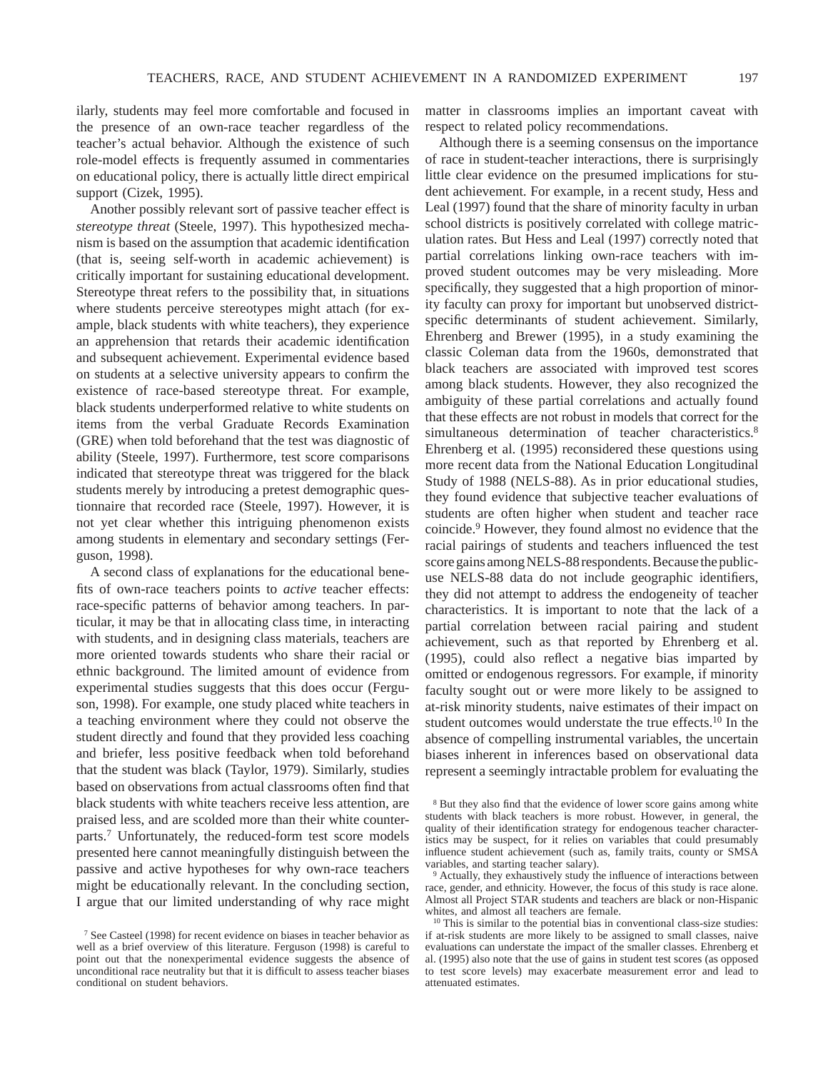ilarly, students may feel more comfortable and focused in the presence of an own-race teacher regardless of the teacher's actual behavior. Although the existence of such role-model effects is frequently assumed in commentaries on educational policy, there is actually little direct empirical support (Cizek, 1995).

Another possibly relevant sort of passive teacher effect is *stereotype threat* (Steele, 1997). This hypothesized mechanism is based on the assumption that academic identification (that is, seeing self-worth in academic achievement) is critically important for sustaining educational development. Stereotype threat refers to the possibility that, in situations where students perceive stereotypes might attach (for example, black students with white teachers), they experience an apprehension that retards their academic identification and subsequent achievement. Experimental evidence based on students at a selective university appears to confirm the existence of race-based stereotype threat. For example, black students underperformed relative to white students on items from the verbal Graduate Records Examination (GRE) when told beforehand that the test was diagnostic of ability (Steele, 1997). Furthermore, test score comparisons indicated that stereotype threat was triggered for the black students merely by introducing a pretest demographic questionnaire that recorded race (Steele, 1997). However, it is not yet clear whether this intriguing phenomenon exists among students in elementary and secondary settings (Ferguson, 1998).

A second class of explanations for the educational benefits of own-race teachers points to *active* teacher effects: race-specific patterns of behavior among teachers. In particular, it may be that in allocating class time, in interacting with students, and in designing class materials, teachers are more oriented towards students who share their racial or ethnic background. The limited amount of evidence from experimental studies suggests that this does occur (Ferguson, 1998). For example, one study placed white teachers in a teaching environment where they could not observe the student directly and found that they provided less coaching and briefer, less positive feedback when told beforehand that the student was black (Taylor, 1979). Similarly, studies based on observations from actual classrooms often find that black students with white teachers receive less attention, are praised less, and are scolded more than their white counterparts.7 Unfortunately, the reduced-form test score models presented here cannot meaningfully distinguish between the passive and active hypotheses for why own-race teachers might be educationally relevant. In the concluding section, I argue that our limited understanding of why race might matter in classrooms implies an important caveat with respect to related policy recommendations.

Although there is a seeming consensus on the importance of race in student-teacher interactions, there is surprisingly little clear evidence on the presumed implications for student achievement. For example, in a recent study, Hess and Leal (1997) found that the share of minority faculty in urban school districts is positively correlated with college matriculation rates. But Hess and Leal (1997) correctly noted that partial correlations linking own-race teachers with improved student outcomes may be very misleading. More specifically, they suggested that a high proportion of minority faculty can proxy for important but unobserved districtspecific determinants of student achievement. Similarly, Ehrenberg and Brewer (1995), in a study examining the classic Coleman data from the 1960s, demonstrated that black teachers are associated with improved test scores among black students. However, they also recognized the ambiguity of these partial correlations and actually found that these effects are not robust in models that correct for the simultaneous determination of teacher characteristics.<sup>8</sup> Ehrenberg et al. (1995) reconsidered these questions using more recent data from the National Education Longitudinal Study of 1988 (NELS-88). As in prior educational studies, they found evidence that subjective teacher evaluations of students are often higher when student and teacher race coincide.9 However, they found almost no evidence that the racial pairings of students and teachers influenced the test score gains among NELS-88 respondents. Because the publicuse NELS-88 data do not include geographic identifiers, they did not attempt to address the endogeneity of teacher characteristics. It is important to note that the lack of a partial correlation between racial pairing and student achievement, such as that reported by Ehrenberg et al. (1995), could also reflect a negative bias imparted by omitted or endogenous regressors. For example, if minority faculty sought out or were more likely to be assigned to at-risk minority students, naive estimates of their impact on student outcomes would understate the true effects.10 In the absence of compelling instrumental variables, the uncertain biases inherent in inferences based on observational data represent a seemingly intractable problem for evaluating the

<sup>7</sup> See Casteel (1998) for recent evidence on biases in teacher behavior as well as a brief overview of this literature. Ferguson (1998) is careful to point out that the nonexperimental evidence suggests the absence of unconditional race neutrality but that it is difficult to assess teacher biases conditional on student behaviors.

<sup>8</sup> But they also find that the evidence of lower score gains among white students with black teachers is more robust. However, in general, the quality of their identification strategy for endogenous teacher characteristics may be suspect, for it relies on variables that could presumably influence student achievement (such as, family traits, county or SMSA variables, and starting teacher salary).

<sup>&</sup>lt;sup>9</sup> Actually, they exhaustively study the influence of interactions between race, gender, and ethnicity. However, the focus of this study is race alone. Almost all Project STAR students and teachers are black or non-Hispanic whites, and almost all teachers are female.

<sup>&</sup>lt;sup>10</sup> This is similar to the potential bias in conventional class-size studies: if at-risk students are more likely to be assigned to small classes, naive evaluations can understate the impact of the smaller classes. Ehrenberg et al. (1995) also note that the use of gains in student test scores (as opposed to test score levels) may exacerbate measurement error and lead to attenuated estimates.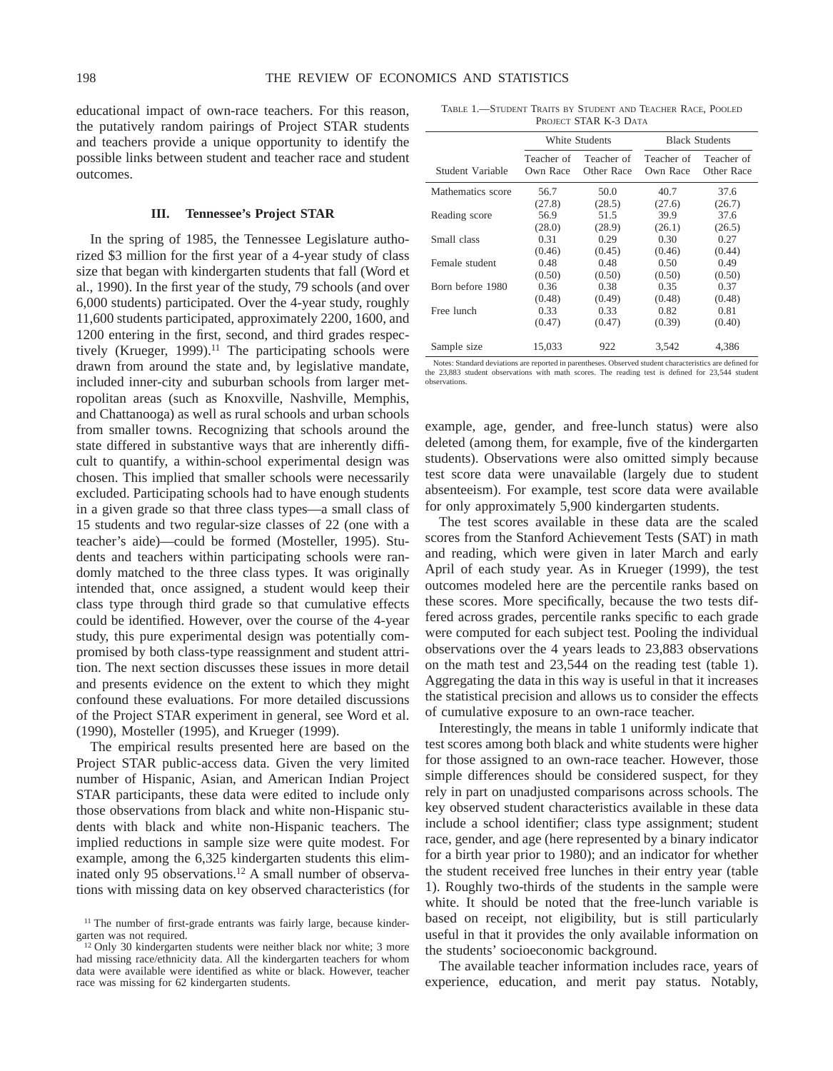educational impact of own-race teachers. For this reason, the putatively random pairings of Project STAR students and teachers provide a unique opportunity to identify the possible links between student and teacher race and student outcomes.

## **III. Tennessee's Project STAR**

In the spring of 1985, the Tennessee Legislature authorized \$3 million for the first year of a 4-year study of class size that began with kindergarten students that fall (Word et al., 1990). In the first year of the study, 79 schools (and over 6,000 students) participated. Over the 4-year study, roughly 11,600 students participated, approximately 2200, 1600, and 1200 entering in the first, second, and third grades respectively (Krueger,  $1999$ ).<sup>11</sup> The participating schools were drawn from around the state and, by legislative mandate, included inner-city and suburban schools from larger metropolitan areas (such as Knoxville, Nashville, Memphis, and Chattanooga) as well as rural schools and urban schools from smaller towns. Recognizing that schools around the state differed in substantive ways that are inherently difficult to quantify, a within-school experimental design was chosen. This implied that smaller schools were necessarily excluded. Participating schools had to have enough students in a given grade so that three class types—a small class of 15 students and two regular-size classes of 22 (one with a teacher's aide)—could be formed (Mosteller, 1995). Students and teachers within participating schools were randomly matched to the three class types. It was originally intended that, once assigned, a student would keep their class type through third grade so that cumulative effects could be identified. However, over the course of the 4-year study, this pure experimental design was potentially compromised by both class-type reassignment and student attrition. The next section discusses these issues in more detail and presents evidence on the extent to which they might confound these evaluations. For more detailed discussions of the Project STAR experiment in general, see Word et al. (1990), Mosteller (1995), and Krueger (1999).

The empirical results presented here are based on the Project STAR public-access data. Given the very limited number of Hispanic, Asian, and American Indian Project STAR participants, these data were edited to include only those observations from black and white non-Hispanic students with black and white non-Hispanic teachers. The implied reductions in sample size were quite modest. For example, among the 6,325 kindergarten students this eliminated only 95 observations.<sup>12</sup> A small number of observations with missing data on key observed characteristics (for

TABLE 1.—STUDENT TRAITS BY STUDENT AND TEACHER RACE, POOLED PROJECT STAR K-3 DATA

|                   |            | White Students |            | <b>Black Students</b> |
|-------------------|------------|----------------|------------|-----------------------|
| Student Variable  | Teacher of | Teacher of     | Teacher of | Teacher of            |
|                   | Own Race   | Other Race     | Own Race   | Other Race            |
| Mathematics score | 56.7       | 50.0           | 40.7       | 37.6                  |
|                   | (27.8)     | (28.5)         | (27.6)     | (26.7)                |
| Reading score     | 56.9       | 51.5           | 39.9       | 37.6                  |
|                   | (28.0)     | (28.9)         | (26.1)     | (26.5)                |
| Small class       | 0.31       | 0.29           | 0.30       | 0.27                  |
|                   | (0.46)     | (0.45)         | (0.46)     | (0.44)                |
| Female student    | 0.48       | 0.48           | 0.50       | 0.49                  |
|                   | (0.50)     | (0.50)         | (0.50)     | (0.50)                |
| Born before 1980  | 0.36       | 0.38           | 0.35       | 0.37                  |
|                   | (0.48)     | (0.49)         | (0.48)     | (0.48)                |
| Free lunch        | 0.33       | 0.33           | 0.82       | 0.81                  |
|                   | (0.47)     | (0.47)         | (0.39)     | (0.40)                |
| Sample size       | 15,033     | 922            | 3,542      | 4.386                 |

Notes: Standard deviations are reported in parentheses. Observed student characteristics are defined for the 23,883 student observations with math scores. The reading test is defined for 23,544 student observations.

example, age, gender, and free-lunch status) were also deleted (among them, for example, five of the kindergarten students). Observations were also omitted simply because test score data were unavailable (largely due to student absenteeism). For example, test score data were available for only approximately 5,900 kindergarten students.

The test scores available in these data are the scaled scores from the Stanford Achievement Tests (SAT) in math and reading, which were given in later March and early April of each study year. As in Krueger (1999), the test outcomes modeled here are the percentile ranks based on these scores. More specifically, because the two tests differed across grades, percentile ranks specific to each grade were computed for each subject test. Pooling the individual observations over the 4 years leads to 23,883 observations on the math test and 23,544 on the reading test (table 1). Aggregating the data in this way is useful in that it increases the statistical precision and allows us to consider the effects of cumulative exposure to an own-race teacher.

Interestingly, the means in table 1 uniformly indicate that test scores among both black and white students were higher for those assigned to an own-race teacher. However, those simple differences should be considered suspect, for they rely in part on unadjusted comparisons across schools. The key observed student characteristics available in these data include a school identifier; class type assignment; student race, gender, and age (here represented by a binary indicator for a birth year prior to 1980); and an indicator for whether the student received free lunches in their entry year (table 1). Roughly two-thirds of the students in the sample were white. It should be noted that the free-lunch variable is based on receipt, not eligibility, but is still particularly useful in that it provides the only available information on the students' socioeconomic background.

The available teacher information includes race, years of experience, education, and merit pay status. Notably,

<sup>&</sup>lt;sup>11</sup> The number of first-grade entrants was fairly large, because kindergarten was not required.

<sup>&</sup>lt;sup>12</sup> Only 30 kindergarten students were neither black nor white; 3 more had missing race/ethnicity data. All the kindergarten teachers for whom data were available were identified as white or black. However, teacher race was missing for 62 kindergarten students.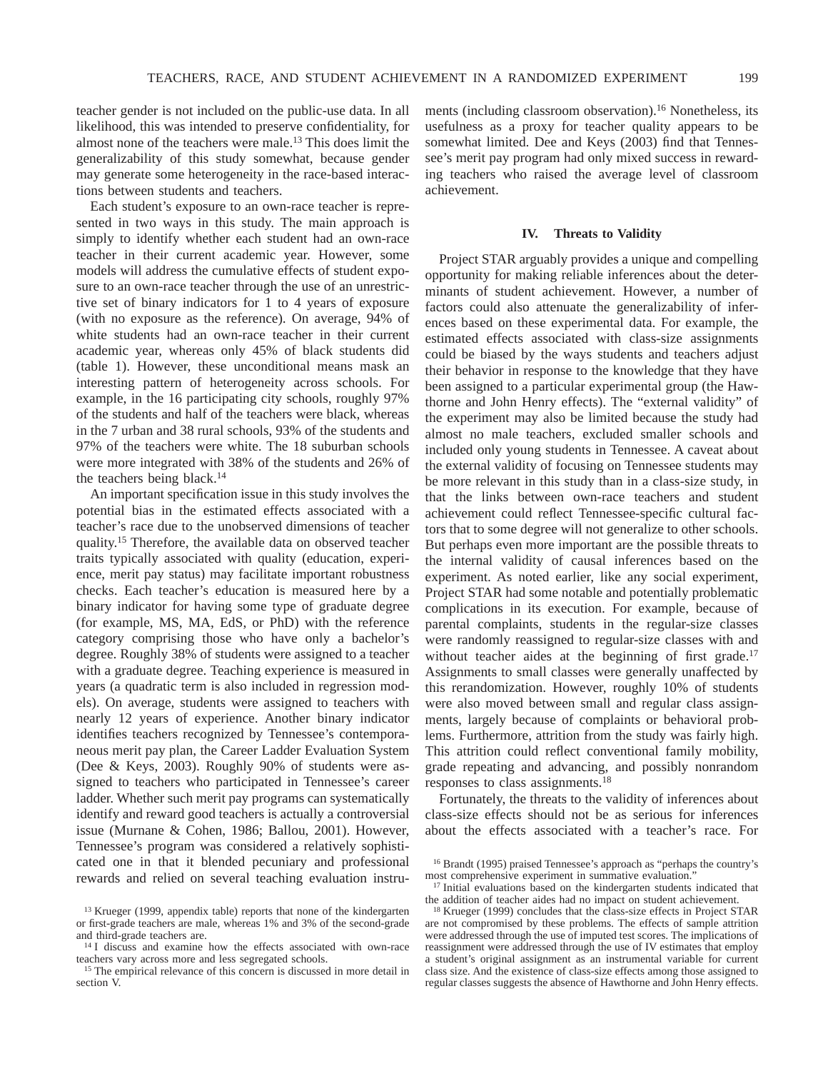teacher gender is not included on the public-use data. In all likelihood, this was intended to preserve confidentiality, for almost none of the teachers were male.13 This does limit the generalizability of this study somewhat, because gender may generate some heterogeneity in the race-based interactions between students and teachers.

Each student's exposure to an own-race teacher is represented in two ways in this study. The main approach is simply to identify whether each student had an own-race teacher in their current academic year. However, some models will address the cumulative effects of student exposure to an own-race teacher through the use of an unrestrictive set of binary indicators for 1 to 4 years of exposure (with no exposure as the reference). On average, 94% of white students had an own-race teacher in their current academic year, whereas only 45% of black students did (table 1). However, these unconditional means mask an interesting pattern of heterogeneity across schools. For example, in the 16 participating city schools, roughly 97% of the students and half of the teachers were black, whereas in the 7 urban and 38 rural schools, 93% of the students and 97% of the teachers were white. The 18 suburban schools were more integrated with 38% of the students and 26% of the teachers being black.14

An important specification issue in this study involves the potential bias in the estimated effects associated with a teacher's race due to the unobserved dimensions of teacher quality.15 Therefore, the available data on observed teacher traits typically associated with quality (education, experience, merit pay status) may facilitate important robustness checks. Each teacher's education is measured here by a binary indicator for having some type of graduate degree (for example, MS, MA, EdS, or PhD) with the reference category comprising those who have only a bachelor's degree. Roughly 38% of students were assigned to a teacher with a graduate degree. Teaching experience is measured in years (a quadratic term is also included in regression models). On average, students were assigned to teachers with nearly 12 years of experience. Another binary indicator identifies teachers recognized by Tennessee's contemporaneous merit pay plan, the Career Ladder Evaluation System (Dee & Keys, 2003). Roughly 90% of students were assigned to teachers who participated in Tennessee's career ladder. Whether such merit pay programs can systematically identify and reward good teachers is actually a controversial issue (Murnane & Cohen, 1986; Ballou, 2001). However, Tennessee's program was considered a relatively sophisticated one in that it blended pecuniary and professional rewards and relied on several teaching evaluation instruments (including classroom observation).16 Nonetheless, its usefulness as a proxy for teacher quality appears to be somewhat limited. Dee and Keys (2003) find that Tennessee's merit pay program had only mixed success in rewarding teachers who raised the average level of classroom achievement.

#### **IV. Threats to Validity**

Project STAR arguably provides a unique and compelling opportunity for making reliable inferences about the determinants of student achievement. However, a number of factors could also attenuate the generalizability of inferences based on these experimental data. For example, the estimated effects associated with class-size assignments could be biased by the ways students and teachers adjust their behavior in response to the knowledge that they have been assigned to a particular experimental group (the Hawthorne and John Henry effects). The "external validity" of the experiment may also be limited because the study had almost no male teachers, excluded smaller schools and included only young students in Tennessee. A caveat about the external validity of focusing on Tennessee students may be more relevant in this study than in a class-size study, in that the links between own-race teachers and student achievement could reflect Tennessee-specific cultural factors that to some degree will not generalize to other schools. But perhaps even more important are the possible threats to the internal validity of causal inferences based on the experiment. As noted earlier, like any social experiment, Project STAR had some notable and potentially problematic complications in its execution. For example, because of parental complaints, students in the regular-size classes were randomly reassigned to regular-size classes with and without teacher aides at the beginning of first grade.<sup>17</sup> Assignments to small classes were generally unaffected by this rerandomization. However, roughly 10% of students were also moved between small and regular class assignments, largely because of complaints or behavioral problems. Furthermore, attrition from the study was fairly high. This attrition could reflect conventional family mobility, grade repeating and advancing, and possibly nonrandom responses to class assignments.18

Fortunately, the threats to the validity of inferences about class-size effects should not be as serious for inferences about the effects associated with a teacher's race. For

<sup>&</sup>lt;sup>13</sup> Krueger (1999, appendix table) reports that none of the kindergarten or first-grade teachers are male, whereas 1% and 3% of the second-grade and third-grade teachers are.

<sup>14</sup> I discuss and examine how the effects associated with own-race teachers vary across more and less segregated schools.

<sup>&</sup>lt;sup>15</sup> The empirical relevance of this concern is discussed in more detail in section V.

<sup>16</sup> Brandt (1995) praised Tennessee's approach as "perhaps the country's most comprehensive experiment in summative evaluation."

<sup>&</sup>lt;sup>17</sup> Initial evaluations based on the kindergarten students indicated that the addition of teacher aides had no impact on student achievement.

<sup>18</sup> Krueger (1999) concludes that the class-size effects in Project STAR are not compromised by these problems. The effects of sample attrition were addressed through the use of imputed test scores. The implications of reassignment were addressed through the use of IV estimates that employ a student's original assignment as an instrumental variable for current class size. And the existence of class-size effects among those assigned to regular classes suggests the absence of Hawthorne and John Henry effects.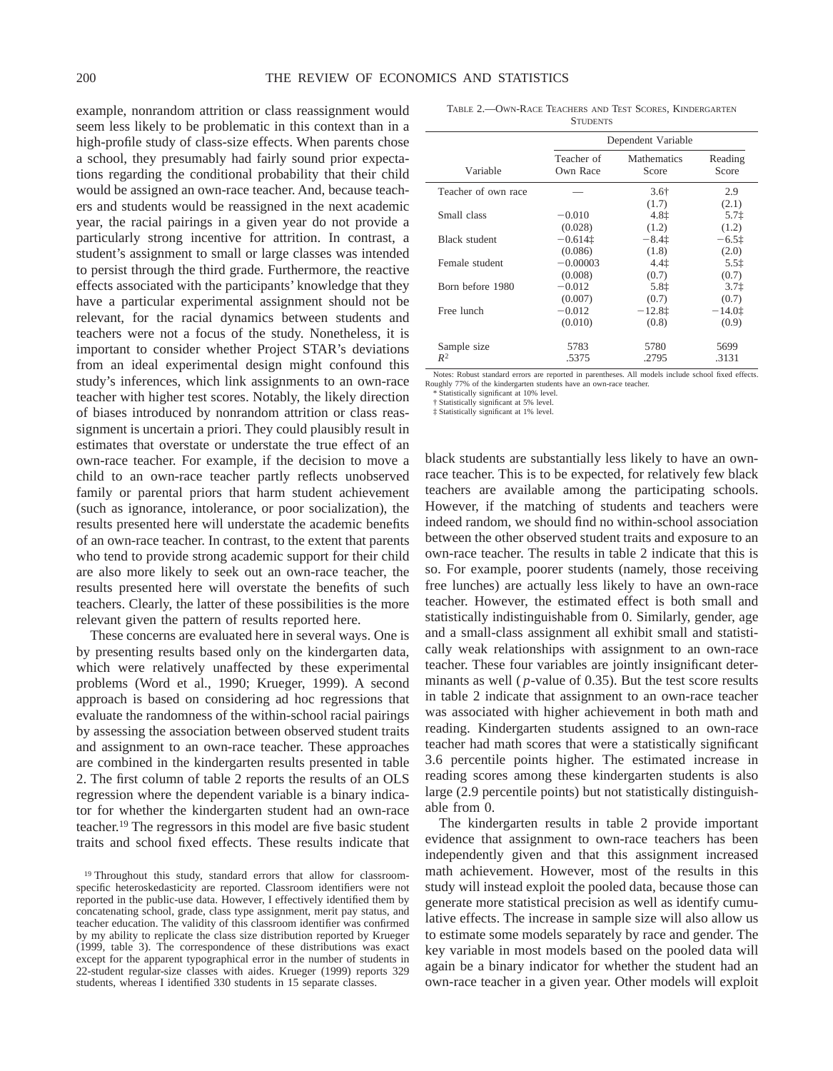example, nonrandom attrition or class reassignment would seem less likely to be problematic in this context than in a high-profile study of class-size effects. When parents chose a school, they presumably had fairly sound prior expectations regarding the conditional probability that their child would be assigned an own-race teacher. And, because teachers and students would be reassigned in the next academic year, the racial pairings in a given year do not provide a particularly strong incentive for attrition. In contrast, a student's assignment to small or large classes was intended to persist through the third grade. Furthermore, the reactive effects associated with the participants' knowledge that they have a particular experimental assignment should not be relevant, for the racial dynamics between students and teachers were not a focus of the study. Nonetheless, it is important to consider whether Project STAR's deviations from an ideal experimental design might confound this study's inferences, which link assignments to an own-race teacher with higher test scores. Notably, the likely direction of biases introduced by nonrandom attrition or class reassignment is uncertain a priori. They could plausibly result in estimates that overstate or understate the true effect of an own-race teacher. For example, if the decision to move a child to an own-race teacher partly reflects unobserved family or parental priors that harm student achievement (such as ignorance, intolerance, or poor socialization), the results presented here will understate the academic benefits of an own-race teacher. In contrast, to the extent that parents who tend to provide strong academic support for their child are also more likely to seek out an own-race teacher, the results presented here will overstate the benefits of such teachers. Clearly, the latter of these possibilities is the more relevant given the pattern of results reported here.

These concerns are evaluated here in several ways. One is by presenting results based only on the kindergarten data, which were relatively unaffected by these experimental problems (Word et al., 1990; Krueger, 1999). A second approach is based on considering ad hoc regressions that evaluate the randomness of the within-school racial pairings by assessing the association between observed student traits and assignment to an own-race teacher. These approaches are combined in the kindergarten results presented in table 2. The first column of table 2 reports the results of an OLS regression where the dependent variable is a binary indicator for whether the kindergarten student had an own-race teacher.19 The regressors in this model are five basic student traits and school fixed effects. These results indicate that

| TABLE 2.—OWN-RACE TEACHERS AND TEST SCORES, KINDERGARTEN |                 |  |  |
|----------------------------------------------------------|-----------------|--|--|
|                                                          | <b>STUDENTS</b> |  |  |

|                     |            | Dependent Variable    |              |
|---------------------|------------|-----------------------|--------------|
| Variable            | Teacher of | <b>Mathematics</b>    | Reading      |
|                     | Own Race   | Score                 | Score        |
| Teacher of own race |            | $3.6\dagger$<br>(1.7) | 2.9<br>(2.1) |
| Small class         | $-0.010$   | 4.8 <sub>1</sub>      | 5.71         |
|                     | (0.028)    | (1.2)                 | (1.2)        |
| Black student       | $-0.6141$  | $-8.41$               | $-6.51$      |
|                     | (0.086)    | (1.8)                 | (2.0)        |
| Female student      | $-0.00003$ | 4.41                  | 5.51         |
|                     | (0.008)    | (0.7)                 | (0.7)        |
| Born before 1980    | $-0.012$   | 5.81                  | 3.71         |
|                     | (0.007)    | (0.7)                 | (0.7)        |
| Free lunch          | $-0.012$   | $-12.81$              | $-14.01$     |
|                     | (0.010)    | (0.8)                 | (0.9)        |
| Sample size         | 5783       | 5780                  | 5699         |
| $R^2$               | .5375      | .2795                 | .3131        |

Notes: Robust standard errors are reported in parentheses. All models include school fixed effects. Roughly 77% of the kindergarten students have an own-race teacher.

Statistically significant at 10% level.

† Statistically significant at 5% level. ‡ Statistically significant at 1% level.

black students are substantially less likely to have an ownrace teacher. This is to be expected, for relatively few black teachers are available among the participating schools. However, if the matching of students and teachers were indeed random, we should find no within-school association between the other observed student traits and exposure to an own-race teacher. The results in table 2 indicate that this is so. For example, poorer students (namely, those receiving free lunches) are actually less likely to have an own-race teacher. However, the estimated effect is both small and statistically indistinguishable from 0. Similarly, gender, age and a small-class assignment all exhibit small and statistically weak relationships with assignment to an own-race teacher. These four variables are jointly insignificant determinants as well (*p*-value of 0.35). But the test score results in table 2 indicate that assignment to an own-race teacher was associated with higher achievement in both math and reading. Kindergarten students assigned to an own-race teacher had math scores that were a statistically significant 3.6 percentile points higher. The estimated increase in reading scores among these kindergarten students is also large (2.9 percentile points) but not statistically distinguishable from 0.

The kindergarten results in table 2 provide important evidence that assignment to own-race teachers has been independently given and that this assignment increased math achievement. However, most of the results in this study will instead exploit the pooled data, because those can generate more statistical precision as well as identify cumulative effects. The increase in sample size will also allow us to estimate some models separately by race and gender. The key variable in most models based on the pooled data will again be a binary indicator for whether the student had an own-race teacher in a given year. Other models will exploit

<sup>&</sup>lt;sup>19</sup> Throughout this study, standard errors that allow for classroomspecific heteroskedasticity are reported. Classroom identifiers were not reported in the public-use data. However, I effectively identified them by concatenating school, grade, class type assignment, merit pay status, and teacher education. The validity of this classroom identifier was confirmed by my ability to replicate the class size distribution reported by Krueger (1999, table 3). The correspondence of these distributions was exact except for the apparent typographical error in the number of students in 22-student regular-size classes with aides. Krueger (1999) reports 329 students, whereas I identified 330 students in 15 separate classes.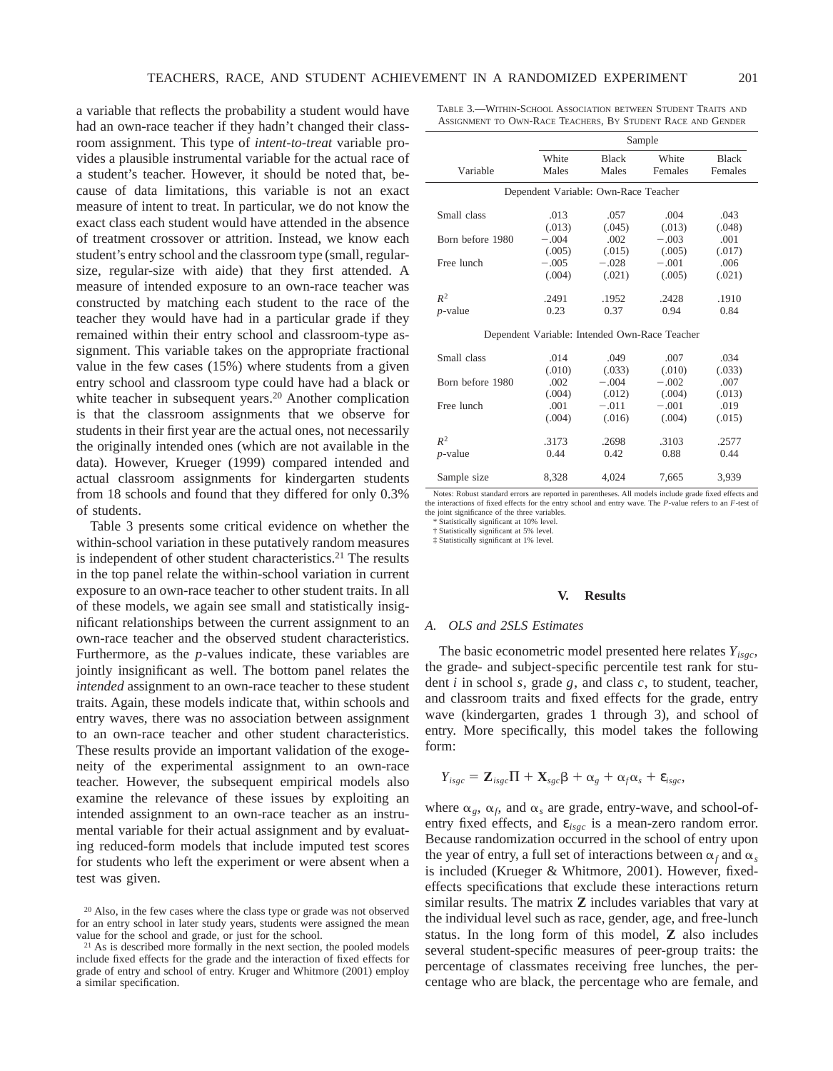a variable that reflects the probability a student would have had an own-race teacher if they hadn't changed their classroom assignment. This type of *intent-to-treat* variable provides a plausible instrumental variable for the actual race of a student's teacher. However, it should be noted that, because of data limitations, this variable is not an exact measure of intent to treat. In particular, we do not know the exact class each student would have attended in the absence of treatment crossover or attrition. Instead, we know each student's entry school and the classroom type (small, regularsize, regular-size with aide) that they first attended. A measure of intended exposure to an own-race teacher was constructed by matching each student to the race of the teacher they would have had in a particular grade if they remained within their entry school and classroom-type assignment. This variable takes on the appropriate fractional value in the few cases (15%) where students from a given entry school and classroom type could have had a black or white teacher in subsequent years.<sup>20</sup> Another complication is that the classroom assignments that we observe for students in their first year are the actual ones, not necessarily the originally intended ones (which are not available in the data). However, Krueger (1999) compared intended and actual classroom assignments for kindergarten students from 18 schools and found that they differed for only 0.3% of students.

Table 3 presents some critical evidence on whether the within-school variation in these putatively random measures is independent of other student characteristics.<sup>21</sup> The results in the top panel relate the within-school variation in current exposure to an own-race teacher to other student traits. In all of these models, we again see small and statistically insignificant relationships between the current assignment to an own-race teacher and the observed student characteristics. Furthermore, as the *p*-values indicate, these variables are jointly insignificant as well. The bottom panel relates the *intended* assignment to an own-race teacher to these student traits. Again, these models indicate that, within schools and entry waves, there was no association between assignment to an own-race teacher and other student characteristics. These results provide an important validation of the exogeneity of the experimental assignment to an own-race teacher. However, the subsequent empirical models also examine the relevance of these issues by exploiting an intended assignment to an own-race teacher as an instrumental variable for their actual assignment and by evaluating reduced-form models that include imputed test scores for students who left the experiment or were absent when a test was given.

TABLE 3.—WITHIN-SCHOOL ASSOCIATION BETWEEN STUDENT TRAITS AND ASSIGNMENT TO OWN-RACE TEACHERS, BY STUDENT RACE AND GENDER

|                                      |                | Sample                                    |         |                         |  |  |  |  |  |  |  |
|--------------------------------------|----------------|-------------------------------------------|---------|-------------------------|--|--|--|--|--|--|--|
| Variable                             | White<br>Males | White<br><b>Black</b><br>Males<br>Females |         | <b>Black</b><br>Females |  |  |  |  |  |  |  |
| Dependent Variable: Own-Race Teacher |                |                                           |         |                         |  |  |  |  |  |  |  |
| Small class                          | .013           | .057                                      | .004    | .043                    |  |  |  |  |  |  |  |
|                                      | (.013)         | (.045)                                    | (.013)  | (.048)                  |  |  |  |  |  |  |  |
| Born before 1980                     | $-.004$        | .002                                      | $-.003$ | .001                    |  |  |  |  |  |  |  |
|                                      | (.005)         | (.015)                                    | (.005)  | (.017)                  |  |  |  |  |  |  |  |
| Free lunch                           | $-.005$        | $-.028$                                   | $-.001$ | .006                    |  |  |  |  |  |  |  |
|                                      | (.004)         | (.021)                                    | (.005)  | (.021)                  |  |  |  |  |  |  |  |
| $R^2$                                | .2491          | .1952                                     | .2428   | .1910                   |  |  |  |  |  |  |  |
| <i>p</i> -value                      | 0.23           | 0.37                                      | 0.94    | 0.84                    |  |  |  |  |  |  |  |

Dependent Variable: Intended Own-Race Teacher

| Small class      | .014   | .049    | .007    | .034   |
|------------------|--------|---------|---------|--------|
|                  | (.010) | (.033)  | (.010)  | (.033) |
| Born before 1980 | .002   | $-.004$ | $-.002$ | .007   |
|                  | (.004) | (.012)  | (.004)  | (.013) |
| Free lunch       | .001   | $-.011$ | $-.001$ | .019   |
|                  | (.004) | (.016)  | (.004)  | (.015) |
| $R^2$            | .3173  | .2698   | .3103   | .2577  |
| $p$ -value       | 0.44   | 0.42    | 0.88    | 0.44   |
| Sample size      | 8.328  | 4.024   | 7,665   | 3.939  |

Notes: Robust standard errors are reported in parentheses. All models include grade fixed effects and the interactions of fixed effects for the entry school and entry wave. The *P*-value refers to an *F*-test of the joint significance of the three variables.

Statistically significant at 10% level.

† Statistically significant at 5% level. ‡ Statistically significant at 1% level.

#### **V. Results**

#### *A. OLS and 2SLS Estimates*

The basic econometric model presented here relates *Yisgc*, the grade- and subject-specific percentile test rank for student *i* in school *s*, grade *g*, and class *c*, to student, teacher, and classroom traits and fixed effects for the grade, entry wave (kindergarten, grades 1 through 3), and school of entry. More specifically, this model takes the following form:

$$
Y_{isgc} = \mathbf{Z}_{isgc}\Pi + \mathbf{X}_{sgc}\beta + \alpha_g + \alpha_f\alpha_s + \varepsilon_{isgc},
$$

where  $\alpha_g$ ,  $\alpha_f$ , and  $\alpha_s$  are grade, entry-wave, and school-ofentry fixed effects, and ε*isgc* is a mean-zero random error. Because randomization occurred in the school of entry upon the year of entry, a full set of interactions between  $\alpha_f$  and  $\alpha_s$ is included (Krueger & Whitmore, 2001). However, fixedeffects specifications that exclude these interactions return similar results. The matrix **Z** includes variables that vary at the individual level such as race, gender, age, and free-lunch status. In the long form of this model, **Z** also includes several student-specific measures of peer-group traits: the percentage of classmates receiving free lunches, the percentage who are black, the percentage who are female, and

<sup>20</sup> Also, in the few cases where the class type or grade was not observed for an entry school in later study years, students were assigned the mean value for the school and grade, or just for the school.

 $21$  As is described more formally in the next section, the pooled models include fixed effects for the grade and the interaction of fixed effects for grade of entry and school of entry. Kruger and Whitmore (2001) employ a similar specification.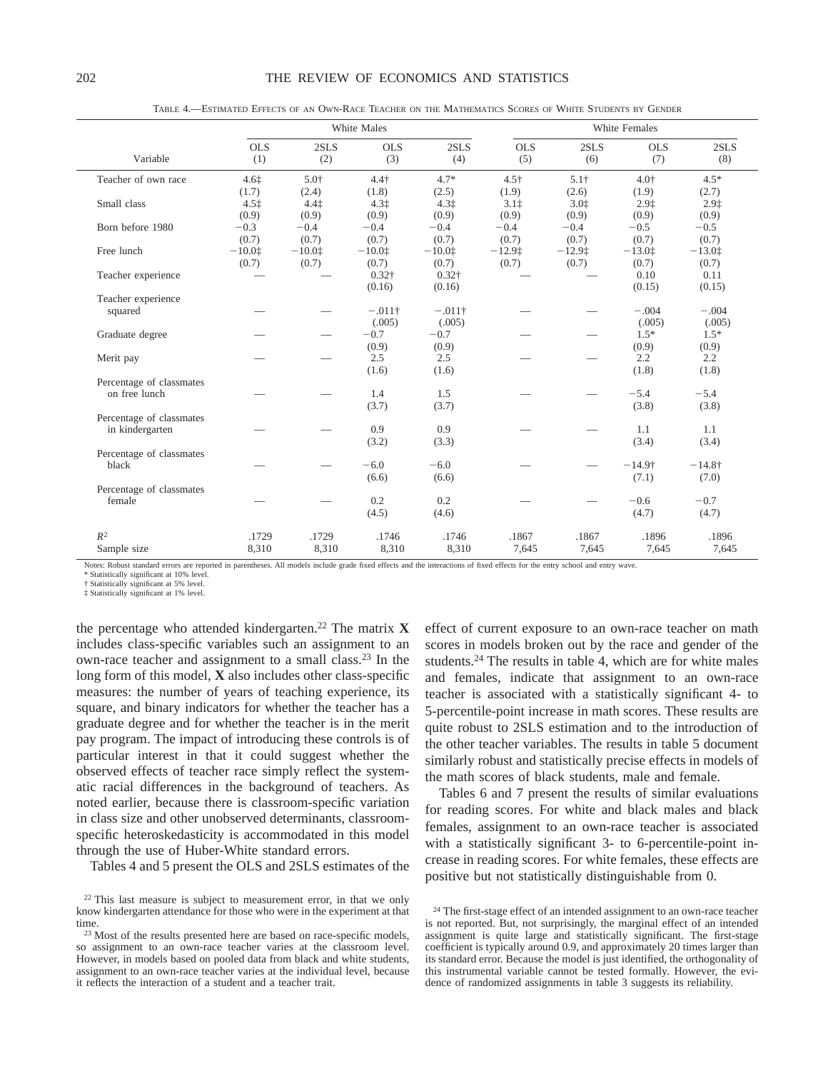|                          |                   |                  | White Males       |                  |                   |             | White Females     |                |
|--------------------------|-------------------|------------------|-------------------|------------------|-------------------|-------------|-------------------|----------------|
| Variable                 | <b>OLS</b><br>(1) | 2SLS<br>(2)      | <b>OLS</b><br>(3) | 2SLS<br>(4)      | <b>OLS</b><br>(5) | 2SLS<br>(6) | <b>OLS</b><br>(7) | 2SLS<br>(8)    |
| Teacher of own race      | 4.6 <sub>1</sub>  | 5.0 <sup>†</sup> | $4.4{\rm +}$      | $4.7*$           | $4.5\dagger$      | $5.1+$      | $4.0^{+}$         | $4.5*$         |
|                          | (1.7)             | (2.4)            | (1.8)             | (2.5)            | (1.9)             | (2.6)       | (1.9)             | (2.7)          |
| Small class              | 4.5 <sub>1</sub>  | 4.4 <sub>1</sub> | 4.3 <sub>1</sub>  | 4.3 <sub>1</sub> | 3.1 <sub>1</sub>  | 3.01        | 2.9 <sub>1</sub>  | 2.91           |
|                          | (0.9)             | (0.9)            | (0.9)             | (0.9)            | (0.9)             | (0.9)       | (0.9)             | (0.9)          |
| Born before 1980         | $-0.3$            | $-0.4$           | $-0.4$            | $-0.4$           | $-0.4$            | $-0.4$      | $-0.5$            | $-0.5$         |
|                          | (0.7)             | (0.7)            | (0.7)             | (0.7)            | (0.7)             | (0.7)       | (0.7)             | (0.7)          |
| Free lunch               | $-10.01$          | $-10.01$         | $-10.01$          | $-10.01$         | $-12.91$          | $-12.91$    | $-13.01$          | $-13.01$       |
|                          | (0.7)             | (0.7)            | (0.7)             | (0.7)            | (0.7)             | (0.7)       | (0.7)             | (0.7)          |
| Teacher experience       |                   |                  | $0.32\dagger$     | $0.32\dagger$    |                   |             | 0.10              | 0.11           |
|                          |                   |                  | (0.16)            | (0.16)           |                   |             | (0.15)            | (0.15)         |
| Teacher experience       |                   |                  |                   |                  |                   |             |                   |                |
| squared                  |                   |                  | $-.011\dagger$    | $-.011\dagger$   |                   |             | $-.004$           | $-.004$        |
|                          |                   |                  | (.005)            | (.005)           |                   |             | (.005)            | (.005)         |
| Graduate degree          |                   |                  | $-0.7$            | $-0.7$           |                   |             | $1.5*$            | $1.5*$         |
|                          |                   |                  | (0.9)             | (0.9)            |                   |             | (0.9)             | (0.9)          |
| Merit pay                |                   |                  | 2.5               | 2.5              |                   |             | $2.2^{\circ}$     | 2.2            |
|                          |                   |                  | (1.6)             | (1.6)            |                   |             | (1.8)             | (1.8)          |
| Percentage of classmates |                   |                  |                   |                  |                   |             |                   |                |
| on free lunch            |                   |                  | 1.4               | 1.5              |                   |             | $-5.4$            | $-5.4$         |
|                          |                   |                  | (3.7)             | (3.7)            |                   |             | (3.8)             | (3.8)          |
| Percentage of classmates |                   |                  |                   |                  |                   |             |                   |                |
| in kindergarten          |                   |                  | 0.9               | 0.9              |                   |             | 1.1               | 1.1            |
|                          |                   |                  | (3.2)             | (3.3)            |                   |             | (3.4)             | (3.4)          |
| Percentage of classmates |                   |                  |                   |                  |                   |             |                   |                |
| black                    |                   |                  | $-6.0$            | $-6.0$           |                   |             | $-14.9\dagger$    | $-14.8\dagger$ |
|                          |                   |                  | (6.6)             | (6.6)            |                   |             | (7.1)             | (7.0)          |
| Percentage of classmates |                   |                  |                   |                  |                   |             |                   |                |
| female                   |                   |                  | 0.2               | 0.2              |                   |             | $-0.6$            | $-0.7$         |
|                          |                   |                  |                   |                  |                   |             |                   |                |
|                          |                   |                  | (4.5)             | (4.6)            |                   |             | (4.7)             | (4.7)          |
| $R^2$                    | .1729             | .1729            | .1746             | .1746            | .1867             | .1867       | .1896             | .1896          |
| Sample size              | 8,310             | 8,310            | 8,310             | 8,310            | 7,645             | 7,645       | 7.645             | 7,645          |

TABLE 4.—ESTIMATED EFFECTS OF AN OWN-RACE TEACHER ON THE MATHEMATICS SCORES OF WHITE STUDENTS BY GENDER

Robust standard errors are reported in parentheses. All models include grade fixed effects and the interactions of fixed effects for the entry school and entry wave.

\* Statistically significant at 10% level.

† Statistically significant at 5% level.

‡ Statistically significant at 1% level.

the percentage who attended kindergarten.<sup>22</sup> The matrix  $\bf{X}$ includes class-specific variables such an assignment to an own-race teacher and assignment to a small class.23 In the long form of this model, **X** also includes other class-specific measures: the number of years of teaching experience, its square, and binary indicators for whether the teacher has a graduate degree and for whether the teacher is in the merit pay program. The impact of introducing these controls is of particular interest in that it could suggest whether the observed effects of teacher race simply reflect the systematic racial differences in the background of teachers. As noted earlier, because there is classroom-specific variation in class size and other unobserved determinants, classroomspecific heteroskedasticity is accommodated in this model through the use of Huber-White standard errors.

Tables 4 and 5 present the OLS and 2SLS estimates of the

effect of current exposure to an own-race teacher on math scores in models broken out by the race and gender of the students.<sup>24</sup> The results in table 4, which are for white males and females, indicate that assignment to an own-race teacher is associated with a statistically significant 4- to 5-percentile-point increase in math scores. These results are quite robust to 2SLS estimation and to the introduction of the other teacher variables. The results in table 5 document similarly robust and statistically precise effects in models of the math scores of black students, male and female.

Tables 6 and 7 present the results of similar evaluations for reading scores. For white and black males and black females, assignment to an own-race teacher is associated with a statistically significant 3- to 6-percentile-point increase in reading scores. For white females, these effects are positive but not statistically distinguishable from 0.

<sup>&</sup>lt;sup>22</sup> This last measure is subject to measurement error, in that we only know kindergarten attendance for those who were in the experiment at that time.

<sup>&</sup>lt;sup>23</sup> Most of the results presented here are based on race-specific models, so assignment to an own-race teacher varies at the classroom level. However, in models based on pooled data from black and white students, assignment to an own-race teacher varies at the individual level, because it reflects the interaction of a student and a teacher trait.

<sup>&</sup>lt;sup>24</sup> The first-stage effect of an intended assignment to an own-race teacher is not reported. But, not surprisingly, the marginal effect of an intended assignment is quite large and statistically significant. The first-stage coefficient is typically around 0.9, and approximately 20 times larger than its standard error. Because the model is just identified, the orthogonality of this instrumental variable cannot be tested formally. However, the evidence of randomized assignments in table 3 suggests its reliability.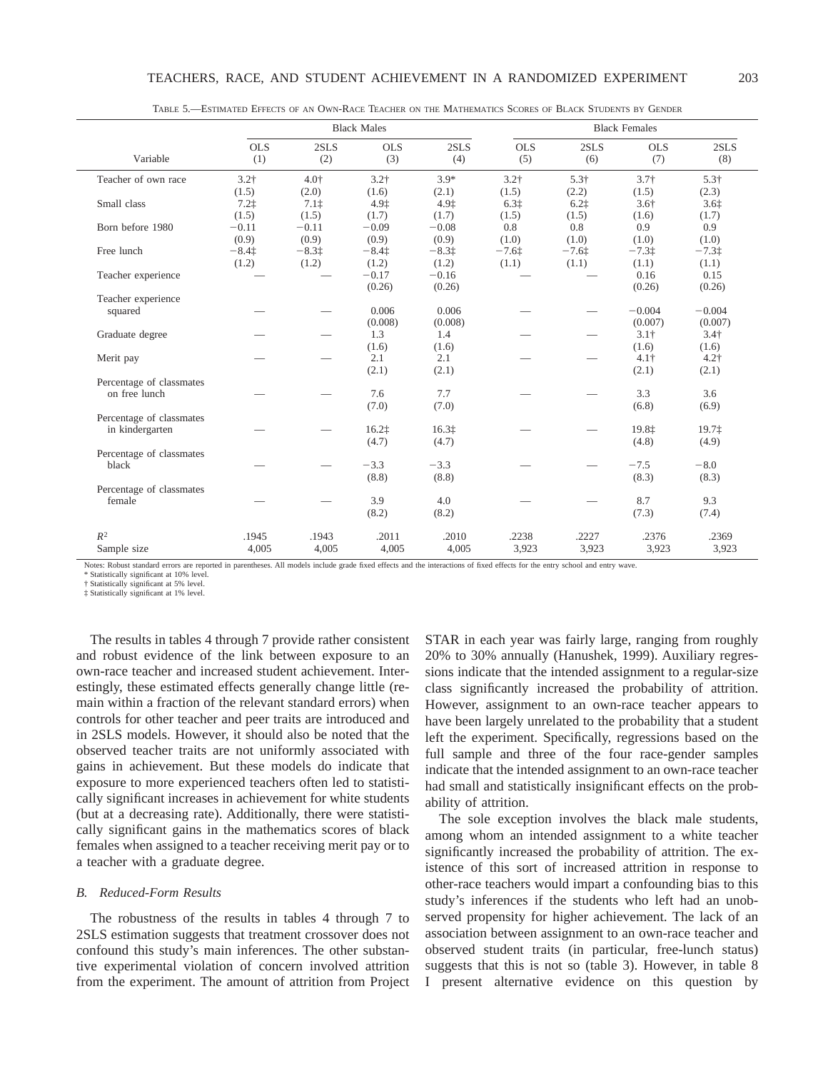|                          |                   |                  | <b>Black Males</b> |                  | <b>Black Females</b> |                  |                   |                  |  |
|--------------------------|-------------------|------------------|--------------------|------------------|----------------------|------------------|-------------------|------------------|--|
| Variable                 | <b>OLS</b><br>(1) | 2SLS<br>(2)      | <b>OLS</b><br>(3)  | 2SLS<br>(4)      | <b>OLS</b><br>(5)    | 2SLS<br>(6)      | <b>OLS</b><br>(7) | 2SLS<br>(8)      |  |
| Teacher of own race      | 3.2 <sub>†</sub>  | 4.0 <sup>†</sup> | $3.2 +$            | $3.9*$           | $3.2 +$              | 5.3 <sup>†</sup> | $3.7+$            | 5.3 <sup>†</sup> |  |
|                          | (1.5)             | (2.0)            | (1.6)              | (2.1)            | (1.5)                | (2.2)            | (1.5)             | (2.3)            |  |
| Small class              | 7.21              | 7.11             | 4.91               | 4.9 <sub>1</sub> | 6.31                 | 6.21             | $3.6+$            | 3.6 <sub>1</sub> |  |
|                          | (1.5)             | (1.5)            | (1.7)              | (1.7)            | (1.5)                | (1.5)            | (1.6)             | (1.7)            |  |
| Born before 1980         | $-0.11$           | $-0.11$          | $-0.09$            | $-0.08$          | 0.8                  | 0.8              | 0.9               | 0.9              |  |
|                          | (0.9)             | (0.9)            | (0.9)              | (0.9)            | (1.0)                | (1.0)            | (1.0)             | (1.0)            |  |
| Free lunch               | $-8.41$           | $-8.31$          | $-8.41$            | $-8.31$          | $-7.61$              | $-7.61$          | $-7.31$           | $-7.31$          |  |
|                          | (1.2)             | (1.2)            | (1.2)              | (1.2)            | (1.1)                | (1.1)            | (1.1)             | (1.1)            |  |
| Teacher experience       |                   |                  | $-0.17$            | $-0.16$          |                      |                  | 0.16              | 0.15             |  |
|                          |                   |                  | (0.26)             | (0.26)           |                      |                  | (0.26)            | (0.26)           |  |
| Teacher experience       |                   |                  |                    |                  |                      |                  |                   |                  |  |
| squared                  |                   |                  | 0.006              | 0.006            |                      |                  | $-0.004$          | $-0.004$         |  |
|                          |                   |                  | (0.008)            | (0.008)          |                      |                  | (0.007)           | (0.007)          |  |
| Graduate degree          |                   |                  | 1.3                | 1.4              |                      |                  | $3.1+$            | 3.4 <sub>†</sub> |  |
|                          |                   |                  | (1.6)              | (1.6)            |                      |                  | (1.6)             | (1.6)            |  |
| Merit pay                |                   |                  | 2.1                | 2.1              |                      |                  | $4.1+$            | $4.2\dagger$     |  |
|                          |                   |                  | (2.1)              | (2.1)            |                      |                  | (2.1)             | (2.1)            |  |
| Percentage of classmates |                   |                  |                    |                  |                      |                  |                   |                  |  |
| on free lunch            |                   |                  | 7.6                | 7.7              |                      |                  | 3.3               | 3.6              |  |
|                          |                   |                  | (7.0)              | (7.0)            |                      |                  | (6.8)             | (6.9)            |  |
| Percentage of classmates |                   |                  |                    |                  |                      |                  |                   |                  |  |
| in kindergarten          |                   |                  | 16.21              | 16.31            |                      |                  | 19.81             | 19.71            |  |
|                          |                   |                  | (4.7)              | (4.7)            |                      |                  | (4.8)             | (4.9)            |  |
| Percentage of classmates |                   |                  |                    |                  |                      |                  |                   |                  |  |
| black                    |                   |                  | $-3.3$             | $-3.3$           |                      |                  | $-7.5$            | $-8.0$           |  |
|                          |                   |                  | (8.8)              | (8.8)            |                      |                  | (8.3)             | (8.3)            |  |
| Percentage of classmates |                   |                  |                    |                  |                      |                  |                   |                  |  |
| female                   |                   |                  | 3.9                | 4.0              |                      |                  | 8.7               | 9.3              |  |
|                          |                   |                  | (8.2)              | (8.2)            |                      |                  | (7.3)             | (7.4)            |  |
|                          |                   |                  |                    |                  |                      |                  |                   |                  |  |
| $R^2$                    | .1945             | .1943            | .2011              | .2010            | .2238                | .2227            | .2376             | .2369            |  |
| Sample size              | 4,005             | 4,005            | 4,005              | 4,005            | 3,923                | 3,923            | 3,923             | 3,923            |  |

TABLE 5.—ESTIMATED EFFECTS OF AN OWN-RACE TEACHER ON THE MATHEMATICS SCORES OF BLACK STUDENTS BY GENDER

Notes: Robust standard errors are reported in parentheses. All models include grade fixed effects and the interactions of fixed effects for the entry school and entry wave.

\* Statistically significant at 10% level.

† Statistically significant at 5% level.

‡ Statistically significant at 1% level.

The results in tables 4 through 7 provide rather consistent and robust evidence of the link between exposure to an own-race teacher and increased student achievement. Interestingly, these estimated effects generally change little (remain within a fraction of the relevant standard errors) when controls for other teacher and peer traits are introduced and in 2SLS models. However, it should also be noted that the observed teacher traits are not uniformly associated with gains in achievement. But these models do indicate that exposure to more experienced teachers often led to statistically significant increases in achievement for white students (but at a decreasing rate). Additionally, there were statistically significant gains in the mathematics scores of black females when assigned to a teacher receiving merit pay or to a teacher with a graduate degree.

## *B. Reduced-Form Results*

The robustness of the results in tables 4 through 7 to 2SLS estimation suggests that treatment crossover does not confound this study's main inferences. The other substantive experimental violation of concern involved attrition from the experiment. The amount of attrition from Project STAR in each year was fairly large, ranging from roughly 20% to 30% annually (Hanushek, 1999). Auxiliary regressions indicate that the intended assignment to a regular-size class significantly increased the probability of attrition. However, assignment to an own-race teacher appears to have been largely unrelated to the probability that a student left the experiment. Specifically, regressions based on the full sample and three of the four race-gender samples indicate that the intended assignment to an own-race teacher had small and statistically insignificant effects on the probability of attrition.

The sole exception involves the black male students, among whom an intended assignment to a white teacher significantly increased the probability of attrition. The existence of this sort of increased attrition in response to other-race teachers would impart a confounding bias to this study's inferences if the students who left had an unobserved propensity for higher achievement. The lack of an association between assignment to an own-race teacher and observed student traits (in particular, free-lunch status) suggests that this is not so (table 3). However, in table 8 I present alternative evidence on this question by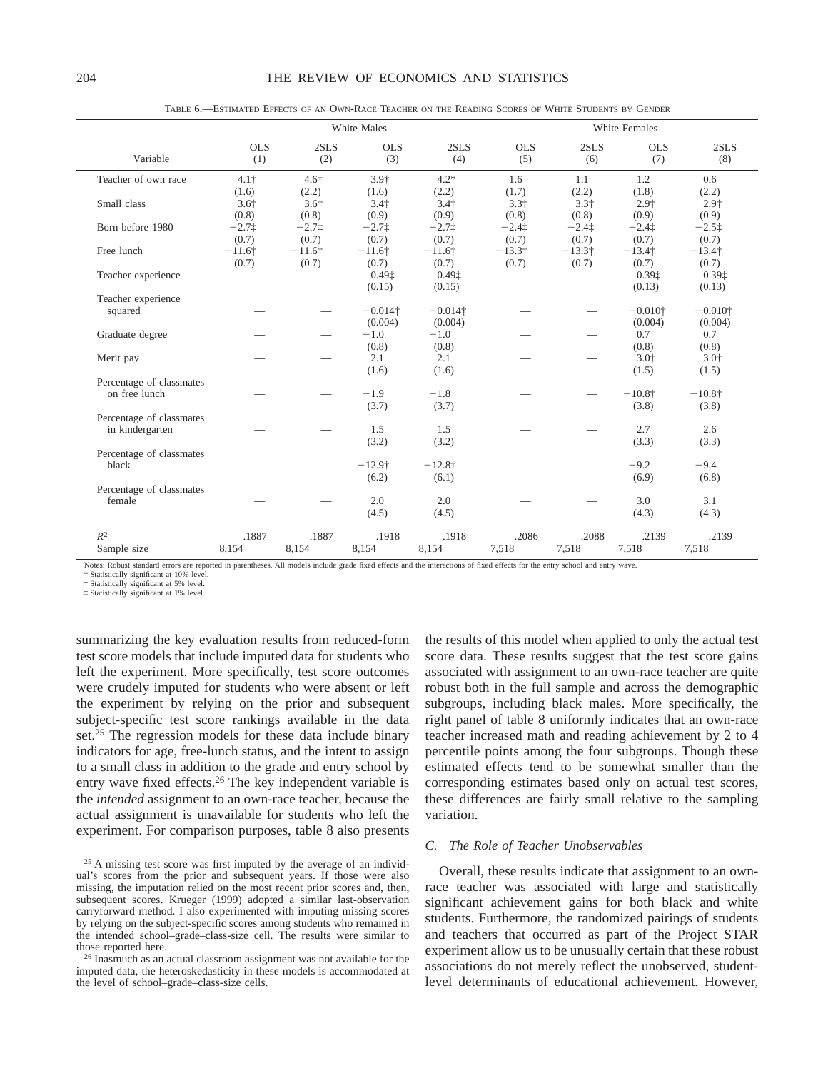|                                             |                                    | White Males                        |                               |                                    |                        |                                    | White Females           |                         |
|---------------------------------------------|------------------------------------|------------------------------------|-------------------------------|------------------------------------|------------------------|------------------------------------|-------------------------|-------------------------|
| Variable                                    | <b>OLS</b><br>(1)                  | 2SLS<br>(2)                        | <b>OLS</b><br>(3)             | 2SLS<br>(4)                        | <b>OLS</b><br>(5)      | 2SLS<br>(6)                        | <b>OLS</b><br>(7)       | 2SLS<br>(8)             |
| Teacher of own race                         | 4.1 <sup>†</sup>                   | 4.6 <sup>†</sup>                   | 3.9 <sub>1</sub>              | $4.2*$                             | 1.6                    | 1.1                                | 1.2                     | 0.6                     |
| Small class                                 | (1.6)<br>3.6 <sub>1</sub><br>(0.8) | (2.2)<br>3.6 <sub>1</sub><br>(0.8) | (1.6)<br>3.41<br>(0.9)        | (2.2)<br>3.4 <sub>1</sub><br>(0.9) | (1.7)<br>3.31<br>(0.8) | (2.2)<br>3.3 <sub>1</sub><br>(0.8) | (1.8)<br>2.91<br>(0.9)  | (2.2)<br>2.91<br>(0.9)  |
| Born before 1980                            | $-2.71$<br>(0.7)                   | $-2.71$<br>(0.7)                   | $-2.71$<br>(0.7)              | $-2.71$<br>(0.7)                   | $-2.41$<br>(0.7)       | $-2.41$<br>(0.7)                   | $-2.41$<br>(0.7)        | $-2.51$<br>(0.7)        |
| Free lunch                                  | $-11.61$<br>(0.7)                  | $-11.61$<br>(0.7)                  | $-11.61$<br>(0.7)             | $-11.6†$<br>(0.7)                  | $-13.31$<br>(0.7)      | $-13.31$<br>(0.7)                  | $-13.41$<br>(0.7)       | $-13.41$<br>(0.7)       |
| Teacher experience                          |                                    |                                    | 0.491<br>(0.15)               | 0.491<br>(0.15)                    |                        |                                    | 0.391<br>(0.13)         | 0.391<br>(0.13)         |
| Teacher experience<br>squared               |                                    |                                    | $-0.0141$                     | $-0.0141$                          |                        |                                    | $-0.0101$               | $-0.0101$               |
| Graduate degree                             |                                    |                                    | (0.004)<br>$-1.0$<br>(0.8)    | (0.004)<br>$-1.0$<br>(0.8)         |                        |                                    | (0.004)<br>0.7<br>(0.8) | (0.004)<br>0.7<br>(0.8) |
| Merit pay                                   |                                    |                                    | 2.1<br>(1.6)                  | 2.1<br>(1.6)                       |                        |                                    | $3.0+$<br>(1.5)         | $3.0+$<br>(1.5)         |
| Percentage of classmates<br>on free lunch   |                                    |                                    | $-1.9$<br>(3.7)               | $-1.8$<br>(3.7)                    |                        |                                    | $-10.8$ †<br>(3.8)      | $-10.8$ †<br>(3.8)      |
| Percentage of classmates<br>in kindergarten |                                    |                                    | 1.5<br>(3.2)                  | 1.5<br>(3.2)                       |                        |                                    | 2.7<br>(3.3)            | 2.6<br>(3.3)            |
| Percentage of classmates<br>black           |                                    |                                    | $-12.9$ <sup>+</sup><br>(6.2) | $-12.8$ †<br>(6.1)                 |                        |                                    | $-9.2$<br>(6.9)         | $-9.4$<br>(6.8)         |
| Percentage of classmates<br>female          |                                    |                                    | 2.0<br>(4.5)                  | 2.0<br>(4.5)                       |                        |                                    | 3.0<br>(4.3)            | 3.1<br>(4.3)            |
| $\mathbb{R}^2$<br>Sample size               | .1887<br>8,154                     | .1887<br>8,154                     | .1918<br>8,154                | .1918<br>8,154                     | .2086<br>7,518         | .2088<br>7,518                     | .2139<br>7,518          | .2139<br>7,518          |

TABLE 6.—ESTIMATED EFFECTS OF AN OWN-RACE TEACHER ON THE READING SCORES OF WHITE STUDENTS BY GENDER

Notes: Robust standard errors are reported in parentheses. All models include grade fixed effects and the interactions of fixed effects for the entry school and entry wave.

Statistically significant at 10% level.

† Statistically significant at 5% level.

‡ Statistically significant at 1% level.

summarizing the key evaluation results from reduced-form test score models that include imputed data for students who left the experiment. More specifically, test score outcomes were crudely imputed for students who were absent or left the experiment by relying on the prior and subsequent subject-specific test score rankings available in the data set.<sup>25</sup> The regression models for these data include binary indicators for age, free-lunch status, and the intent to assign to a small class in addition to the grade and entry school by entry wave fixed effects.26 The key independent variable is the *intended* assignment to an own-race teacher, because the actual assignment is unavailable for students who left the experiment. For comparison purposes, table 8 also presents

<sup>25</sup> A missing test score was first imputed by the average of an individual's scores from the prior and subsequent years. If those were also missing, the imputation relied on the most recent prior scores and, then, subsequent scores. Krueger (1999) adopted a similar last-observation carryforward method. I also experimented with imputing missing scores by relying on the subject-specific scores among students who remained in the intended school–grade–class-size cell. The results were similar to those reported here.

<sup>26</sup> Inasmuch as an actual classroom assignment was not available for the imputed data, the heteroskedasticity in these models is accommodated at the level of school–grade–class-size cells.

the results of this model when applied to only the actual test score data. These results suggest that the test score gains associated with assignment to an own-race teacher are quite robust both in the full sample and across the demographic subgroups, including black males. More specifically, the right panel of table 8 uniformly indicates that an own-race teacher increased math and reading achievement by 2 to 4 percentile points among the four subgroups. Though these estimated effects tend to be somewhat smaller than the corresponding estimates based only on actual test scores, these differences are fairly small relative to the sampling variation.

#### *C. The Role of Teacher Unobservables*

Overall, these results indicate that assignment to an ownrace teacher was associated with large and statistically significant achievement gains for both black and white students. Furthermore, the randomized pairings of students and teachers that occurred as part of the Project STAR experiment allow us to be unusually certain that these robust associations do not merely reflect the unobserved, studentlevel determinants of educational achievement. However,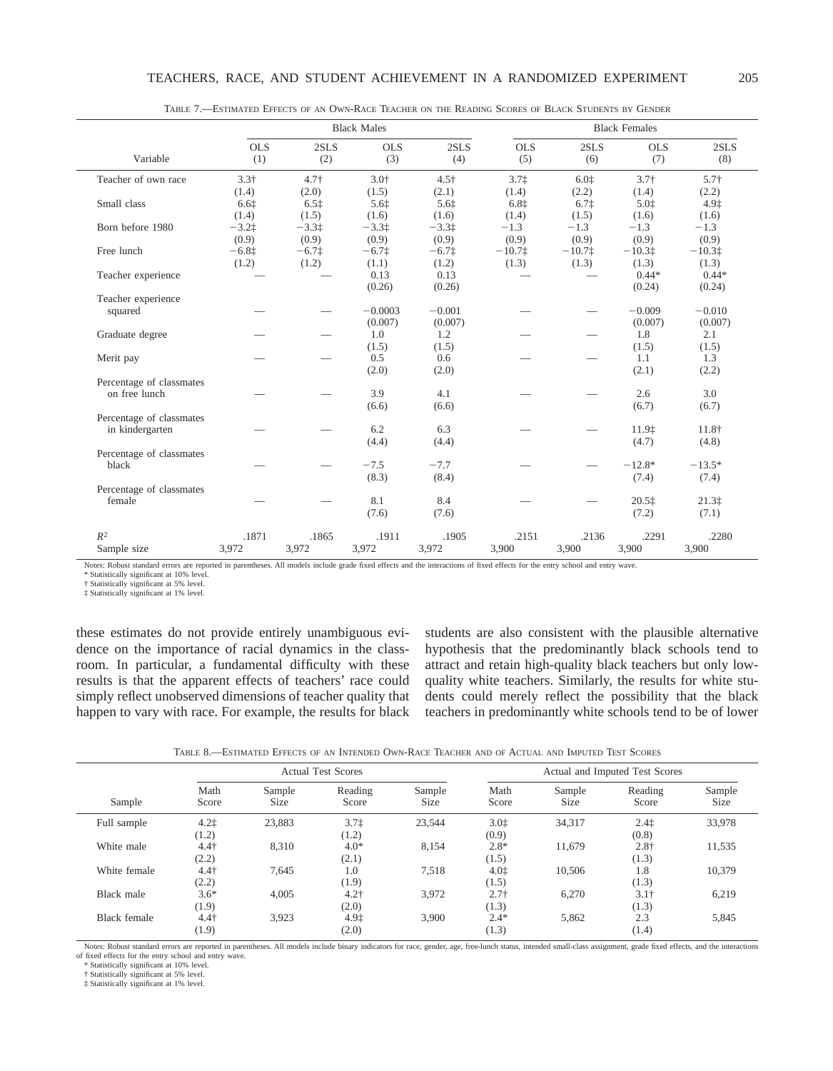|                                             |                           |                  | <b>Black Males</b>        |                           |                   |                   | <b>Black Females</b>       |                            |
|---------------------------------------------|---------------------------|------------------|---------------------------|---------------------------|-------------------|-------------------|----------------------------|----------------------------|
| Variable                                    | <b>OLS</b><br>(1)         | 2SLS<br>(2)      | <b>OLS</b><br>(3)         | 2SLS<br>(4)               | <b>OLS</b><br>(5) | 2SLS<br>(6)       | <b>OLS</b><br>(7)          | 2SLS<br>(8)                |
| Teacher of own race                         | $3.3+$                    | 4.7 <sup>†</sup> | 3.0 <sub>†</sub>          | $4.5\dagger$              | 3.7 <sub>1</sub>  | 6.01              | $3.7+$                     | $5.7+$                     |
| Small class                                 | (1.4)<br>6.6 <sub>1</sub> | (2.0)<br>6.51    | (1.5)<br>5.61             | (2.1)<br>5.61             | (1.4)<br>6.81     | (2.2)<br>6.71     | (1.4)<br>5.01              | (2.2)<br>4.91              |
| Born before 1980                            | (1.4)<br>$-3.21$          | (1.5)<br>$-3.31$ | (1.6)<br>$-3.31$          | (1.6)<br>$-3.31$<br>(0.9) | (1.4)<br>$-1.3$   | (1.5)<br>$-1.3$   | (1.6)<br>$-1.3$            | (1.6)<br>$-1.3$            |
| Free lunch                                  | (0.9)<br>$-6.81$          | (0.9)<br>$-6.71$ | (0.9)<br>$-6.71$<br>(1.1) | $-6.71$                   | (0.9)<br>$-10.71$ | (0.9)<br>$-10.71$ | (0.9)<br>$-10.31$<br>(1.3) | (0.9)<br>$-10.31$<br>(1.3) |
| Teacher experience                          | (1.2)                     | (1.2)            | 0.13<br>(0.26)            | (1.2)<br>0.13<br>(0.26)   | (1.3)             | (1.3)             | $0.44*$<br>(0.24)          | $0.44*$<br>(0.24)          |
| Teacher experience<br>squared               |                           |                  | $-0.0003$                 | $-0.001$                  |                   |                   | $-0.009$                   | $-0.010$                   |
|                                             |                           |                  | (0.007)                   | (0.007)                   |                   |                   | (0.007)                    | (0.007)                    |
| Graduate degree                             |                           |                  | 1.0<br>(1.5)              | 1.2<br>(1.5)              |                   |                   | 1.8<br>(1.5)               | 2.1<br>(1.5)               |
| Merit pay                                   |                           |                  | 0.5<br>(2.0)              | 0.6<br>(2.0)              |                   |                   | 1.1<br>(2.1)               | 1.3<br>(2.2)               |
| Percentage of classmates<br>on free lunch   |                           |                  | 3.9<br>(6.6)              | 4.1<br>(6.6)              |                   |                   | 2.6<br>(6.7)               | 3.0<br>(6.7)               |
| Percentage of classmates<br>in kindergarten |                           |                  | 6.2                       | 6.3                       |                   |                   | 11.91                      | 11.8†                      |
| Percentage of classmates                    |                           |                  | (4.4)                     | (4.4)                     |                   |                   | (4.7)                      | (4.8)                      |
| black                                       |                           |                  | $-7.5$<br>(8.3)           | $-7.7$<br>(8.4)           |                   |                   | $-12.8*$<br>(7.4)          | $-13.5*$<br>(7.4)          |
| Percentage of classmates<br>female          |                           |                  | 8.1<br>(7.6)              | 8.4<br>(7.6)              |                   |                   | 20.51<br>(7.2)             | 21.3 <sub>1</sub><br>(7.1) |
| $R^2$<br>Sample size                        | .1871<br>3,972            | .1865<br>3,972   | .1911<br>3,972            | .1905<br>3,972            | .2151<br>3,900    | .2136<br>3,900    | .2291<br>3,900             | .2280<br>3,900             |

TABLE 7.—ESTIMATED EFFECTS OF AN OWN-RACE TEACHER ON THE READING SCORES OF BLACK STUDENTS BY GENDER

Notes: Robust standard errors are reported in parentheses. All models include grade fixed effects and the interactions of fixed effects for the entry school and entry wave.

\* Statistically significant at 10% level.

† Statistically significant at 5% level.

‡ Statistically significant at 1% level.

these estimates do not provide entirely unambiguous evidence on the importance of racial dynamics in the classroom. In particular, a fundamental difficulty with these results is that the apparent effects of teachers' race could simply reflect unobserved dimensions of teacher quality that happen to vary with race. For example, the results for black students are also consistent with the plausible alternative hypothesis that the predominantly black schools tend to attract and retain high-quality black teachers but only lowquality white teachers. Similarly, the results for white students could merely reflect the possibility that the black teachers in predominantly white schools tend to be of lower

TABLE 8.—ESTIMATED EFFECTS OF AN INTENDED OWN-RACE TEACHER AND OF ACTUAL AND IMPUTED TEST SCORES

|              |                             |                | <b>Actual Test Scores</b> |                | Actual and Imputed Test Scores |                |                       |                |  |  |
|--------------|-----------------------------|----------------|---------------------------|----------------|--------------------------------|----------------|-----------------------|----------------|--|--|
| Sample       | Math<br>Score               | Sample<br>Size | Reading<br>Score          | Sample<br>Size | Math<br>Score                  | Sample<br>Size | Reading<br>Score      | Sample<br>Size |  |  |
| Full sample  | 4.21<br>(1.2)               | 23,883         | 3.71<br>(1.2)             | 23,544         | 3.01<br>(0.9)                  | 34,317         | 2.41<br>(0.8)         | 33,978         |  |  |
| White male   | $4.4$ <sup>+</sup><br>(2.2) | 8,310          | $4.0*$<br>(2.1)           | 8,154          | $2.8*$<br>(1.5)                | 11,679         | $2.8\dagger$<br>(1.3) | 11,535         |  |  |
| White female | $4.4$ <sup>+</sup><br>(2.2) | 7.645          | 1.0<br>(1.9)              | 7,518          | 4.01<br>(1.5)                  | 10,506         | 1.8<br>(1.3)          | 10,379         |  |  |
| Black male   | $3.6*$<br>(1.9)             | 4.005          | $4.2\dagger$<br>(2.0)     | 3,972          | $2.7+$<br>(1.3)                | 6.270          | $3.1+$<br>(1.3)       | 6,219          |  |  |
| Black female | $4.4$ <sup>+</sup><br>(1.9) | 3.923          | 4.9 <sub>1</sub><br>(2.0) | 3.900          | $2.4*$<br>(1.3)                | 5,862          | 2.3<br>(1.4)          | 5,845          |  |  |

Notes: Robust standard errors are reported in parentheses. All models include binary indicators for race, gender, age, free-lunch status, intended small-class assignment, grade fixed effects, and the interactions

of fixed effects for the entry school and entry wave. \* Statistically significant at 10% level.

† Statistically significant at 5% level.

‡ Statistically significant at 1% level.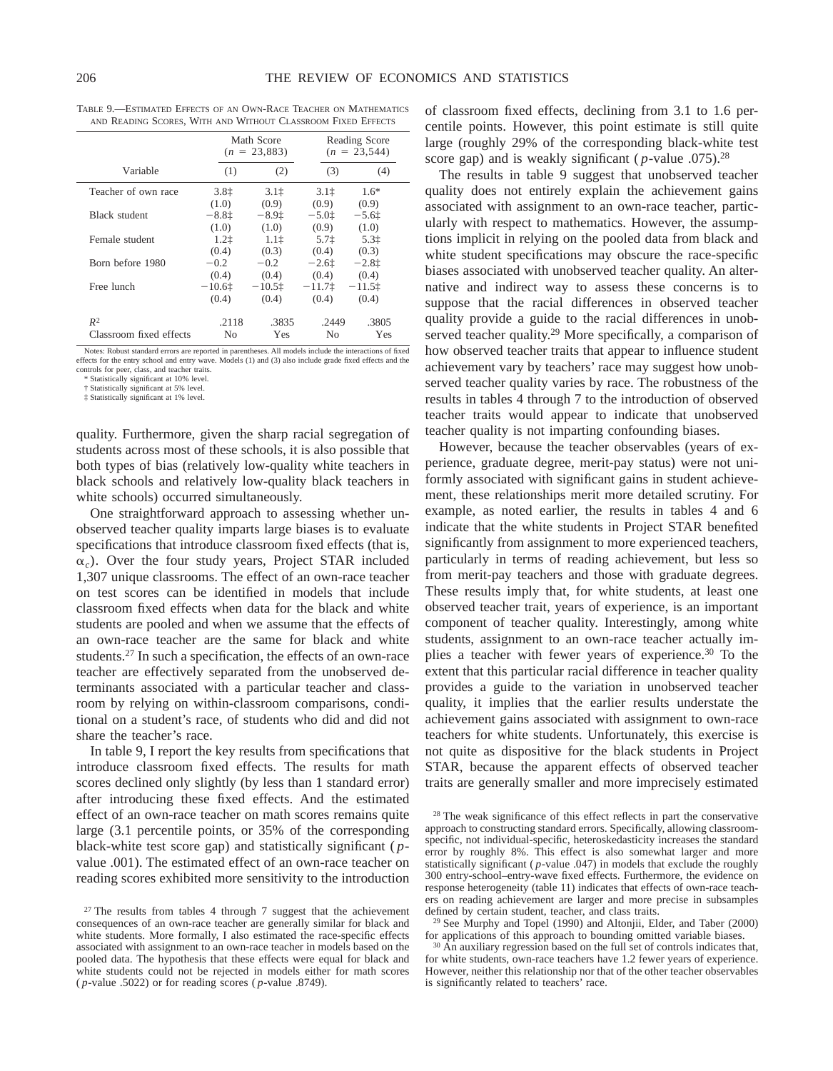|                         |                   | Math Score<br>$(n = 23,883)$ |                   | Reading Score<br>$(n = 23.544)$ |
|-------------------------|-------------------|------------------------------|-------------------|---------------------------------|
| Variable                | (1)               | (2)                          | (3)               | (4)                             |
| Teacher of own race     | 3.81              | 3.11                         | 3.11              | $1.6*$                          |
| Black student           | (1.0)<br>$-8.81$  | (0.9)<br>$-8.91$             | (0.9)<br>$-5.01$  | (0.9)<br>$-5.61$                |
| Female student          | (1.0)<br>1.21     | (1.0)<br>1.11                | (0.9)<br>5.71     | (1.0)<br>5.31                   |
| Born before 1980        | (0.4)<br>$-0.2$   | (0.3)<br>$-0.2$              | (0.4)<br>$-2.61$  | (0.3)<br>$-2.81$                |
|                         | (0.4)             | (0.4)                        | (0.4)             | (0.4)                           |
| Free lunch              | $-10.61$<br>(0.4) | $-10.51$<br>(0.4)            | $-11.71$<br>(0.4) | $-11.51$<br>(0.4)               |
| $R^2$                   | .2118             | .3835                        | .2449             | .3805                           |
| Classroom fixed effects | No                | Yes                          | No                | Yes                             |

TABLE 9.—ESTIMATED EFFECTS OF AN OWN-RACE TEACHER ON MATHEMATICS AND READING SCORES, WITH AND WITHOUT CLASSROOM FIXED EFFECTS

Notes: Robust standard errors are reported in parentheses. All models include the interactions of fixed effects for the entry school and entry wave. Models (1) and (3) also include grade fixed effects and the controls for peer, class, and teacher traits.

Statistically significant at 10% level.

Statistically significant at 5% level.

‡ Statistically significant at 1% level.

quality. Furthermore, given the sharp racial segregation of students across most of these schools, it is also possible that both types of bias (relatively low-quality white teachers in black schools and relatively low-quality black teachers in white schools) occurred simultaneously.

One straightforward approach to assessing whether unobserved teacher quality imparts large biases is to evaluate specifications that introduce classroom fixed effects (that is,  $\alpha_c$ ). Over the four study years, Project STAR included 1,307 unique classrooms. The effect of an own-race teacher on test scores can be identified in models that include classroom fixed effects when data for the black and white students are pooled and when we assume that the effects of an own-race teacher are the same for black and white students.27 In such a specification, the effects of an own-race teacher are effectively separated from the unobserved determinants associated with a particular teacher and classroom by relying on within-classroom comparisons, conditional on a student's race, of students who did and did not share the teacher's race.

In table 9, I report the key results from specifications that introduce classroom fixed effects. The results for math scores declined only slightly (by less than 1 standard error) after introducing these fixed effects. And the estimated effect of an own-race teacher on math scores remains quite large (3.1 percentile points, or 35% of the corresponding black-white test score gap) and statistically significant ( *p*value .001). The estimated effect of an own-race teacher on reading scores exhibited more sensitivity to the introduction

of classroom fixed effects, declining from 3.1 to 1.6 percentile points. However, this point estimate is still quite large (roughly 29% of the corresponding black-white test score gap) and is weakly significant (*p*-value .075).<sup>28</sup>

The results in table 9 suggest that unobserved teacher quality does not entirely explain the achievement gains associated with assignment to an own-race teacher, particularly with respect to mathematics. However, the assumptions implicit in relying on the pooled data from black and white student specifications may obscure the race-specific biases associated with unobserved teacher quality. An alternative and indirect way to assess these concerns is to suppose that the racial differences in observed teacher quality provide a guide to the racial differences in unobserved teacher quality.<sup>29</sup> More specifically, a comparison of how observed teacher traits that appear to influence student achievement vary by teachers' race may suggest how unobserved teacher quality varies by race. The robustness of the results in tables 4 through 7 to the introduction of observed teacher traits would appear to indicate that unobserved teacher quality is not imparting confounding biases.

However, because the teacher observables (years of experience, graduate degree, merit-pay status) were not uniformly associated with significant gains in student achievement, these relationships merit more detailed scrutiny. For example, as noted earlier, the results in tables 4 and 6 indicate that the white students in Project STAR benefited significantly from assignment to more experienced teachers, particularly in terms of reading achievement, but less so from merit-pay teachers and those with graduate degrees. These results imply that, for white students, at least one observed teacher trait, years of experience, is an important component of teacher quality. Interestingly, among white students, assignment to an own-race teacher actually implies a teacher with fewer years of experience.<sup>30</sup> To the extent that this particular racial difference in teacher quality provides a guide to the variation in unobserved teacher quality, it implies that the earlier results understate the achievement gains associated with assignment to own-race teachers for white students. Unfortunately, this exercise is not quite as dispositive for the black students in Project STAR, because the apparent effects of observed teacher traits are generally smaller and more imprecisely estimated

 $27$  The results from tables 4 through 7 suggest that the achievement consequences of an own-race teacher are generally similar for black and white students. More formally, I also estimated the race-specific effects associated with assignment to an own-race teacher in models based on the pooled data. The hypothesis that these effects were equal for black and white students could not be rejected in models either for math scores ( *p*-value .5022) or for reading scores ( *p*-value .8749).

<sup>&</sup>lt;sup>28</sup> The weak significance of this effect reflects in part the conservative approach to constructing standard errors. Specifically, allowing classroomspecific, not individual-specific, heteroskedasticity increases the standard error by roughly 8%. This effect is also somewhat larger and more statistically significant ( *p*-value .047) in models that exclude the roughly 300 entry-school–entry-wave fixed effects. Furthermore, the evidence on response heterogeneity (table 11) indicates that effects of own-race teachers on reading achievement are larger and more precise in subsamples defined by certain student, teacher, and class traits.

 $29$  See Murphy and Topel (1990) and Altonjii, Elder, and Taber (2000) for applications of this approach to bounding omitted variable biases.

An auxiliary regression based on the full set of controls indicates that, for white students, own-race teachers have 1.2 fewer years of experience. However, neither this relationship nor that of the other teacher observables is significantly related to teachers' race.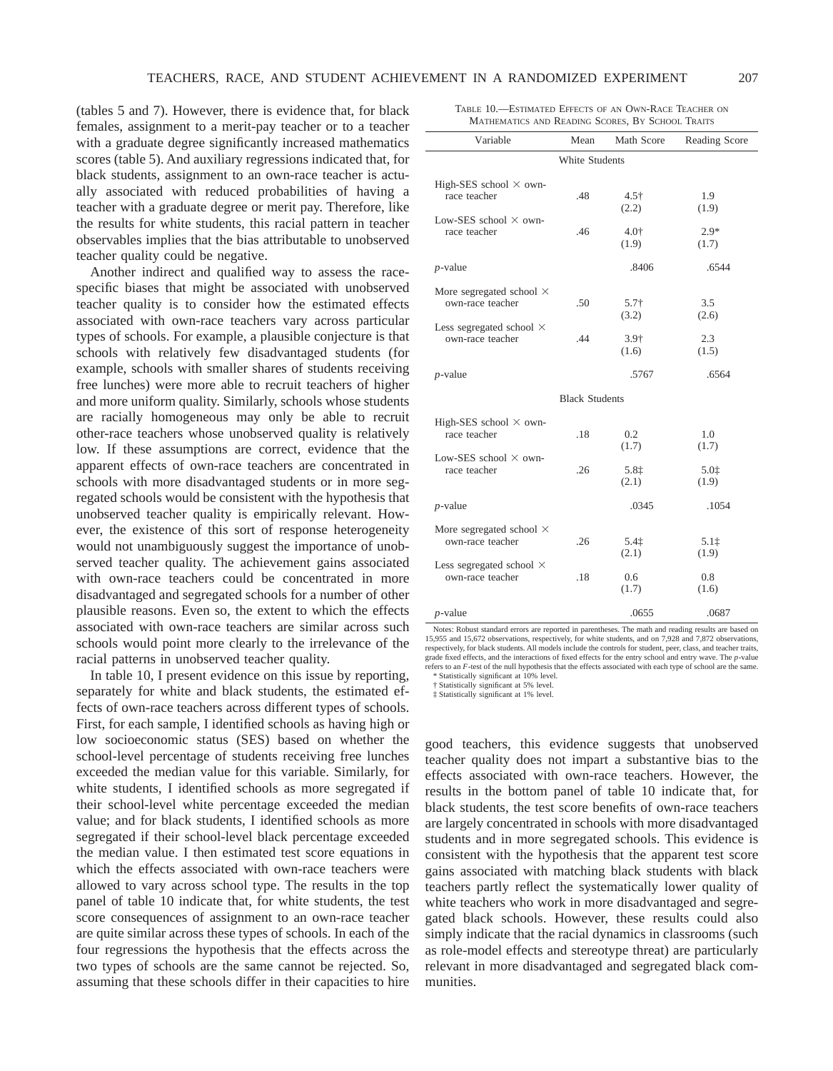(tables 5 and 7). However, there is evidence that, for black females, assignment to a merit-pay teacher or to a teacher with a graduate degree significantly increased mathematics scores (table 5). And auxiliary regressions indicated that, for black students, assignment to an own-race teacher is actually associated with reduced probabilities of having a teacher with a graduate degree or merit pay. Therefore, like the results for white students, this racial pattern in teacher observables implies that the bias attributable to unobserved teacher quality could be negative.

Another indirect and qualified way to assess the racespecific biases that might be associated with unobserved teacher quality is to consider how the estimated effects associated with own-race teachers vary across particular types of schools. For example, a plausible conjecture is that schools with relatively few disadvantaged students (for example, schools with smaller shares of students receiving free lunches) were more able to recruit teachers of higher and more uniform quality. Similarly, schools whose students are racially homogeneous may only be able to recruit other-race teachers whose unobserved quality is relatively low. If these assumptions are correct, evidence that the apparent effects of own-race teachers are concentrated in schools with more disadvantaged students or in more segregated schools would be consistent with the hypothesis that unobserved teacher quality is empirically relevant. However, the existence of this sort of response heterogeneity would not unambiguously suggest the importance of unobserved teacher quality. The achievement gains associated with own-race teachers could be concentrated in more disadvantaged and segregated schools for a number of other plausible reasons. Even so, the extent to which the effects associated with own-race teachers are similar across such schools would point more clearly to the irrelevance of the racial patterns in unobserved teacher quality.

In table 10, I present evidence on this issue by reporting, separately for white and black students, the estimated effects of own-race teachers across different types of schools. First, for each sample, I identified schools as having high or low socioeconomic status (SES) based on whether the school-level percentage of students receiving free lunches exceeded the median value for this variable. Similarly, for white students, I identified schools as more segregated if their school-level white percentage exceeded the median value; and for black students, I identified schools as more segregated if their school-level black percentage exceeded the median value. I then estimated test score equations in which the effects associated with own-race teachers were allowed to vary across school type. The results in the top panel of table 10 indicate that, for white students, the test score consequences of assignment to an own-race teacher are quite similar across these types of schools. In each of the four regressions the hypothesis that the effects across the two types of schools are the same cannot be rejected. So, assuming that these schools differ in their capacities to hire

|  |  |  |  | TABLE 10.—ESTIMATED EFFECTS OF AN OWN-RACE TEACHER ON |  |
|--|--|--|--|-------------------------------------------------------|--|
|  |  |  |  | MATHEMATICS AND READING SCORES, BY SCHOOL TRAITS      |  |

| Variable                        | Mean                  | Math Score       | Reading Score |  |
|---------------------------------|-----------------------|------------------|---------------|--|
| White Students                  |                       |                  |               |  |
| High-SES school $\times$ own-   | .48                   | $4.5\dagger$     | 1.9           |  |
| race teacher                    |                       | (2.2)            | (1.9)         |  |
| Low-SES school $\times$ own-    | .46                   | $4.0+$           | $2.9*$        |  |
| race teacher                    |                       | (1.9)            | (1.7)         |  |
| $p$ -value                      |                       | .8406            | .6544         |  |
| More segregated school $\times$ | .50                   | 5.7 <sup>†</sup> | 3.5           |  |
| own-race teacher                |                       | (3.2)            | (2.6)         |  |
| Less segregated school $\times$ | .44                   | 3.9†             | 2.3           |  |
| own-race teacher                |                       | (1.6)            | (1.5)         |  |
| $p$ -value                      |                       | .5767            | .6564         |  |
|                                 | <b>Black Students</b> |                  |               |  |
| High-SES school $\times$ own-   | .18                   | 0.2              | 1.0           |  |
| race teacher                    |                       | (1.7)            | (1.7)         |  |
| Low-SES school $\times$ own-    | .26                   | 5.81             | 5.01          |  |
| race teacher                    |                       | (2.1)            | (1.9)         |  |
| $p$ -value                      |                       | .0345            | .1054         |  |
| More segregated school $\times$ | .26                   | 5.41             | 5.11          |  |
| own-race teacher                |                       | (2.1)            | (1.9)         |  |
| Less segregated school $\times$ | .18                   | 0.6              | 0.8           |  |
| own-race teacher                |                       | (1.7)            | (1.6)         |  |
| $p$ -value                      |                       | .0655            | .0687         |  |

Notes: Robust standard errors are reported in parentheses. The math and reading results are based on 15,955 and 15,672 observations, respectively, for white students, and on 7,928 and 7,872 observations, respectively, for black students. All models include the controls for student, peer, class, and teacher traits, grade fixed effects, and the interactions of fixed effects for the entry school and entry wave. The *p*-value refers to an *F*-test of the null hypothesis that the effects associated with each type of school are the same.

Statistically significant at 10% level. † Statistically significant at 5% level.

‡ Statistically significant at 1% level.

good teachers, this evidence suggests that unobserved teacher quality does not impart a substantive bias to the effects associated with own-race teachers. However, the results in the bottom panel of table 10 indicate that, for black students, the test score benefits of own-race teachers are largely concentrated in schools with more disadvantaged students and in more segregated schools. This evidence is consistent with the hypothesis that the apparent test score gains associated with matching black students with black teachers partly reflect the systematically lower quality of white teachers who work in more disadvantaged and segregated black schools. However, these results could also simply indicate that the racial dynamics in classrooms (such as role-model effects and stereotype threat) are particularly relevant in more disadvantaged and segregated black communities.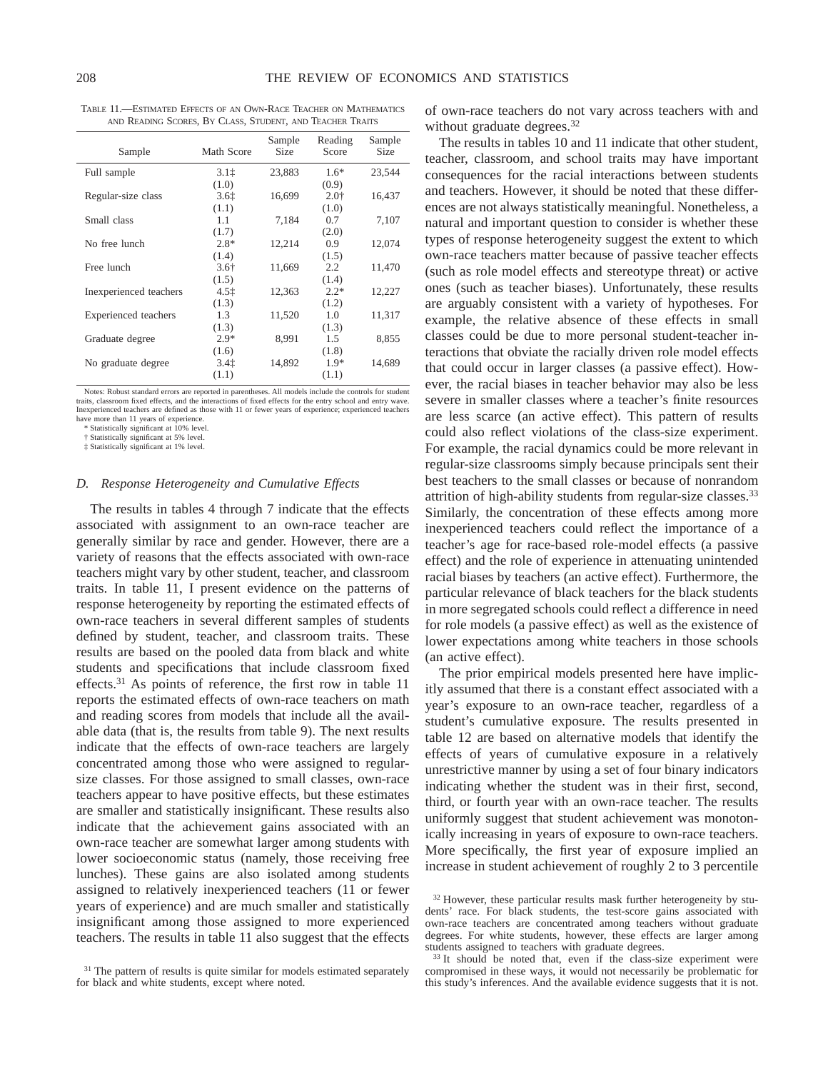| Sample                 | Math Score | Sample<br><b>Size</b> | Reading<br>Score | Sample<br>Size |
|------------------------|------------|-----------------------|------------------|----------------|
| Full sample            | 3.11       | 23,883                | $1.6*$           | 23,544         |
|                        | (1.0)      |                       | (0.9)            |                |
| Regular-size class     | 3.61       | 16,699                | $2.0^{+}$        | 16,437         |
|                        | (1.1)      |                       | (1.0)            |                |
| Small class            | 1.1        | 7,184                 | 0.7              | 7,107          |
|                        | (1.7)      |                       | (2.0)            |                |
| No free lunch          | $2.8*$     | 12,214                | 0.9              | 12,074         |
|                        | (1.4)      |                       | (1.5)            |                |
| Free lunch             | $3.6+$     | 11,669                | $2.2\,$          | 11,470         |
|                        | (1.5)      |                       | (1.4)            |                |
| Inexperienced teachers | 4.51       | 12,363                | $2.2*$           | 12,227         |
|                        | (1.3)      |                       | (1.2)            |                |
| Experienced teachers   | 1.3        | 11,520                | 1.0              | 11,317         |
|                        | (1.3)      |                       | (1.3)            |                |
| Graduate degree        | $2.9*$     | 8,991                 | 1.5              | 8,855          |
|                        | (1.6)      |                       | (1.8)            |                |
| No graduate degree     | 3.41       | 14,892                | $1.9*$           | 14,689         |
|                        | (1.1)      |                       | (1.1)            |                |

TABLE 11.—ESTIMATED EFFECTS OF AN OWN-RACE TEACHER ON MATHEMATICS AND READING SCORES, BY CLASS, STUDENT, AND TEACHER TRAITS

Notes: Robust standard errors are reported in parentheses. All models include the controls for student traits, classroom fixed effects, and the interactions of fixed effects for the entry school and entry wave. Inexperienced teachers are defined as those with 11 or fewer years of experience; experienced teachers have more than 11 years of experience.

\* Statistically significant at 10% level.

Statistically significant at 5% level

‡ Statistically significant at 1% level.

## *D. Response Heterogeneity and Cumulative Effects*

The results in tables 4 through 7 indicate that the effects associated with assignment to an own-race teacher are generally similar by race and gender. However, there are a variety of reasons that the effects associated with own-race teachers might vary by other student, teacher, and classroom traits. In table 11, I present evidence on the patterns of response heterogeneity by reporting the estimated effects of own-race teachers in several different samples of students defined by student, teacher, and classroom traits. These results are based on the pooled data from black and white students and specifications that include classroom fixed effects.31 As points of reference, the first row in table 11 reports the estimated effects of own-race teachers on math and reading scores from models that include all the available data (that is, the results from table 9). The next results indicate that the effects of own-race teachers are largely concentrated among those who were assigned to regularsize classes. For those assigned to small classes, own-race teachers appear to have positive effects, but these estimates are smaller and statistically insignificant. These results also indicate that the achievement gains associated with an own-race teacher are somewhat larger among students with lower socioeconomic status (namely, those receiving free lunches). These gains are also isolated among students assigned to relatively inexperienced teachers (11 or fewer years of experience) and are much smaller and statistically insignificant among those assigned to more experienced teachers. The results in table 11 also suggest that the effects

of own-race teachers do not vary across teachers with and without graduate degrees.<sup>32</sup>

The results in tables 10 and 11 indicate that other student, teacher, classroom, and school traits may have important consequences for the racial interactions between students and teachers. However, it should be noted that these differences are not always statistically meaningful. Nonetheless, a natural and important question to consider is whether these types of response heterogeneity suggest the extent to which own-race teachers matter because of passive teacher effects (such as role model effects and stereotype threat) or active ones (such as teacher biases). Unfortunately, these results are arguably consistent with a variety of hypotheses. For example, the relative absence of these effects in small classes could be due to more personal student-teacher interactions that obviate the racially driven role model effects that could occur in larger classes (a passive effect). However, the racial biases in teacher behavior may also be less severe in smaller classes where a teacher's finite resources are less scarce (an active effect). This pattern of results could also reflect violations of the class-size experiment. For example, the racial dynamics could be more relevant in regular-size classrooms simply because principals sent their best teachers to the small classes or because of nonrandom attrition of high-ability students from regular-size classes.33 Similarly, the concentration of these effects among more inexperienced teachers could reflect the importance of a teacher's age for race-based role-model effects (a passive effect) and the role of experience in attenuating unintended racial biases by teachers (an active effect). Furthermore, the particular relevance of black teachers for the black students in more segregated schools could reflect a difference in need for role models (a passive effect) as well as the existence of lower expectations among white teachers in those schools (an active effect).

The prior empirical models presented here have implicitly assumed that there is a constant effect associated with a year's exposure to an own-race teacher, regardless of a student's cumulative exposure. The results presented in table 12 are based on alternative models that identify the effects of years of cumulative exposure in a relatively unrestrictive manner by using a set of four binary indicators indicating whether the student was in their first, second, third, or fourth year with an own-race teacher. The results uniformly suggest that student achievement was monotonically increasing in years of exposure to own-race teachers. More specifically, the first year of exposure implied an increase in student achievement of roughly 2 to 3 percentile

<sup>&</sup>lt;sup>31</sup> The pattern of results is quite similar for models estimated separately for black and white students, except where noted.

<sup>&</sup>lt;sup>32</sup> However, these particular results mask further heterogeneity by students' race. For black students, the test-score gains associated with own-race teachers are concentrated among teachers without graduate degrees. For white students, however, these effects are larger among students assigned to teachers with graduate degrees.

<sup>&</sup>lt;sup>33</sup> It should be noted that, even if the class-size experiment were compromised in these ways, it would not necessarily be problematic for this study's inferences. And the available evidence suggests that it is not.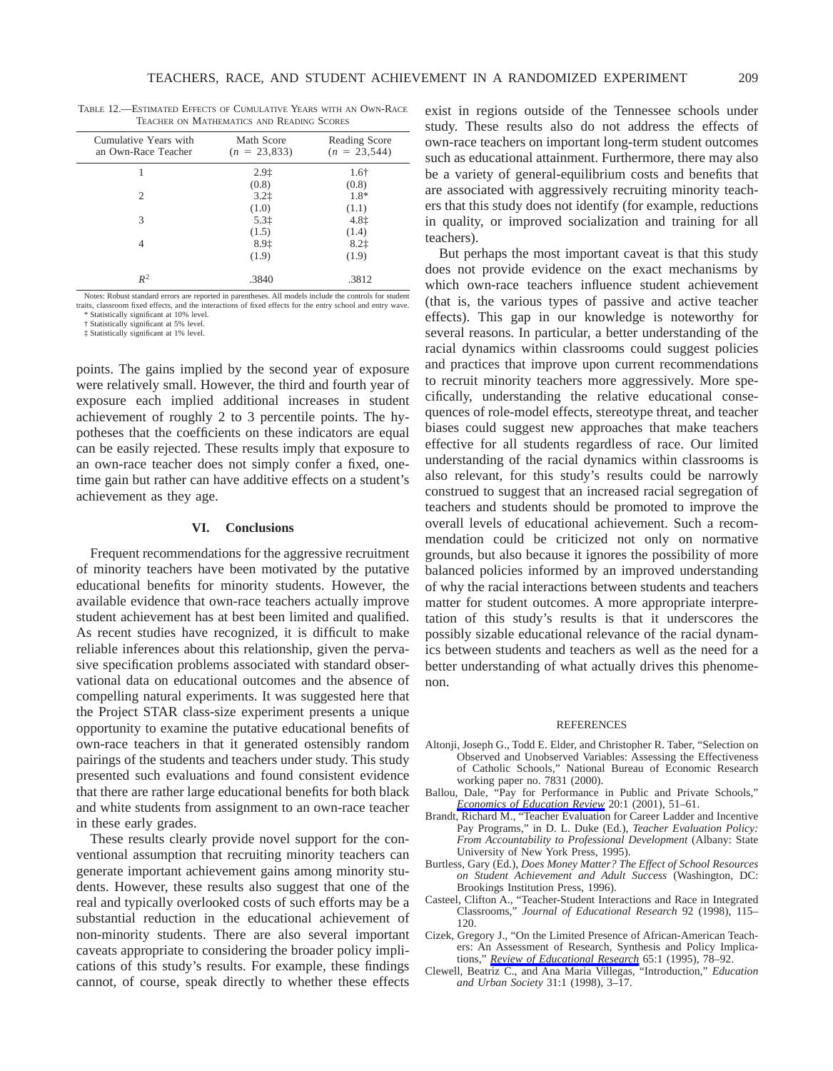|                                           |  |  | TABLE 12.—ESTIMATED EFFECTS OF CUMULATIVE YEARS WITH AN OWN-RACE |
|-------------------------------------------|--|--|------------------------------------------------------------------|
| TEACHER ON MATHEMATICS AND READING SCORES |  |  |                                                                  |

| Math Score<br>$(n = 23,833)$ | Reading Score<br>$(n = 23, 544)$ |
|------------------------------|----------------------------------|
| 2.91                         | 1.6†                             |
| (0.8)                        | (0.8)                            |
| 3.21                         | $1.8*$                           |
| (1.0)                        | (1.1)                            |
| 5.31                         | 4.81                             |
| (1.5)                        | (1.4)                            |
| 8.91                         | 8.21                             |
| (1.9)                        | (1.9)                            |
| .3840                        | .3812                            |
|                              |                                  |

Notes: Robust standard errors are reported in parentheses. All models include the controls for student traits, classroom fixed effects, and the interactions of fixed effects for the entry school and entry wave. \* Statistically significant at 10% level.

† Statistically significant at 5% level.

‡ Statistically significant at 1% level.

points. The gains implied by the second year of exposure were relatively small. However, the third and fourth year of exposure each implied additional increases in student achievement of roughly 2 to 3 percentile points. The hypotheses that the coefficients on these indicators are equal can be easily rejected. These results imply that exposure to an own-race teacher does not simply confer a fixed, onetime gain but rather can have additive effects on a student's achievement as they age.

## **VI. Conclusions**

Frequent recommendations for the aggressive recruitment of minority teachers have been motivated by the putative educational benefits for minority students. However, the available evidence that own-race teachers actually improve student achievement has at best been limited and qualified. As recent studies have recognized, it is difficult to make reliable inferences about this relationship, given the pervasive specification problems associated with standard observational data on educational outcomes and the absence of compelling natural experiments. It was suggested here that the Project STAR class-size experiment presents a unique opportunity to examine the putative educational benefits of own-race teachers in that it generated ostensibly random pairings of the students and teachers under study. This study presented such evaluations and found consistent evidence that there are rather large educational benefits for both black and white students from assignment to an own-race teacher in these early grades.

These results clearly provide novel support for the conventional assumption that recruiting minority teachers can generate important achievement gains among minority students. However, these results also suggest that one of the real and typically overlooked costs of such efforts may be a substantial reduction in the educational achievement of non-minority students. There are also several important caveats appropriate to considering the broader policy implications of this study's results. For example, these findings cannot, of course, speak directly to whether these effects

exist in regions outside of the Tennessee schools under study. These results also do not address the effects of own-race teachers on important long-term student outcomes such as educational attainment. Furthermore, there may also be a variety of general-equilibrium costs and benefits that are associated with aggressively recruiting minority teachers that this study does not identify (for example, reductions in quality, or improved socialization and training for all teachers).

But perhaps the most important caveat is that this study does not provide evidence on the exact mechanisms by which own-race teachers influence student achievement (that is, the various types of passive and active teacher effects). This gap in our knowledge is noteworthy for several reasons. In particular, a better understanding of the racial dynamics within classrooms could suggest policies and practices that improve upon current recommendations to recruit minority teachers more aggressively. More specifically, understanding the relative educational consequences of role-model effects, stereotype threat, and teacher biases could suggest new approaches that make teachers effective for all students regardless of race. Our limited understanding of the racial dynamics within classrooms is also relevant, for this study's results could be narrowly construed to suggest that an increased racial segregation of teachers and students should be promoted to improve the overall levels of educational achievement. Such a recommendation could be criticized not only on normative grounds, but also because it ignores the possibility of more balanced policies informed by an improved understanding of why the racial interactions between students and teachers matter for student outcomes. A more appropriate interpretation of this study's results is that it underscores the possibly sizable educational relevance of the racial dynamics between students and teachers as well as the need for a better understanding of what actually drives this phenomenon.

### **REFERENCES**

- Altonji, Joseph G., Todd E. Elder, and Christopher R. Taber, "Selection on Observed and Unobserved Variables: Assessing the Effectiveness of Catholic Schools," National Bureau of Economic Research working paper no. 7831 (2000).
- Ballou, Dale, "Pay for Performance in Public and Private Schools," *Economics of Education Review* 20:1 (2001), 51–61.
- Brandt, Richard M., "Teacher Evaluation for Career Ladder and Incentive Pay Programs," in D. L. Duke (Ed.), *Teacher Evaluation Policy: From Accountability to Professional Development* (Albany: State University of New York Press, 1995).
- Burtless, Gary (Ed.), *Does Money Matter? The Effect of School Resources on Student Achievement and Adult Success* (Washington, DC: Brookings Institution Press, 1996).
- Casteel, Clifton A., "Teacher-Student Interactions and Race in Integrated Classrooms," *Journal of Educational Research* 92 (1998), 115– 120.
- Cizek, Gregory J., "On the Limited Presence of African-American Teachers: An Assessment of Research, Synthesis and Policy Implications," *Review of Educational Research* 65:1 (1995), 78–92.
- Clewell, Beatriz C., and Ana Maria Villegas, "Introduction," *Education and Urban Society* 31:1 (1998), 3–17.